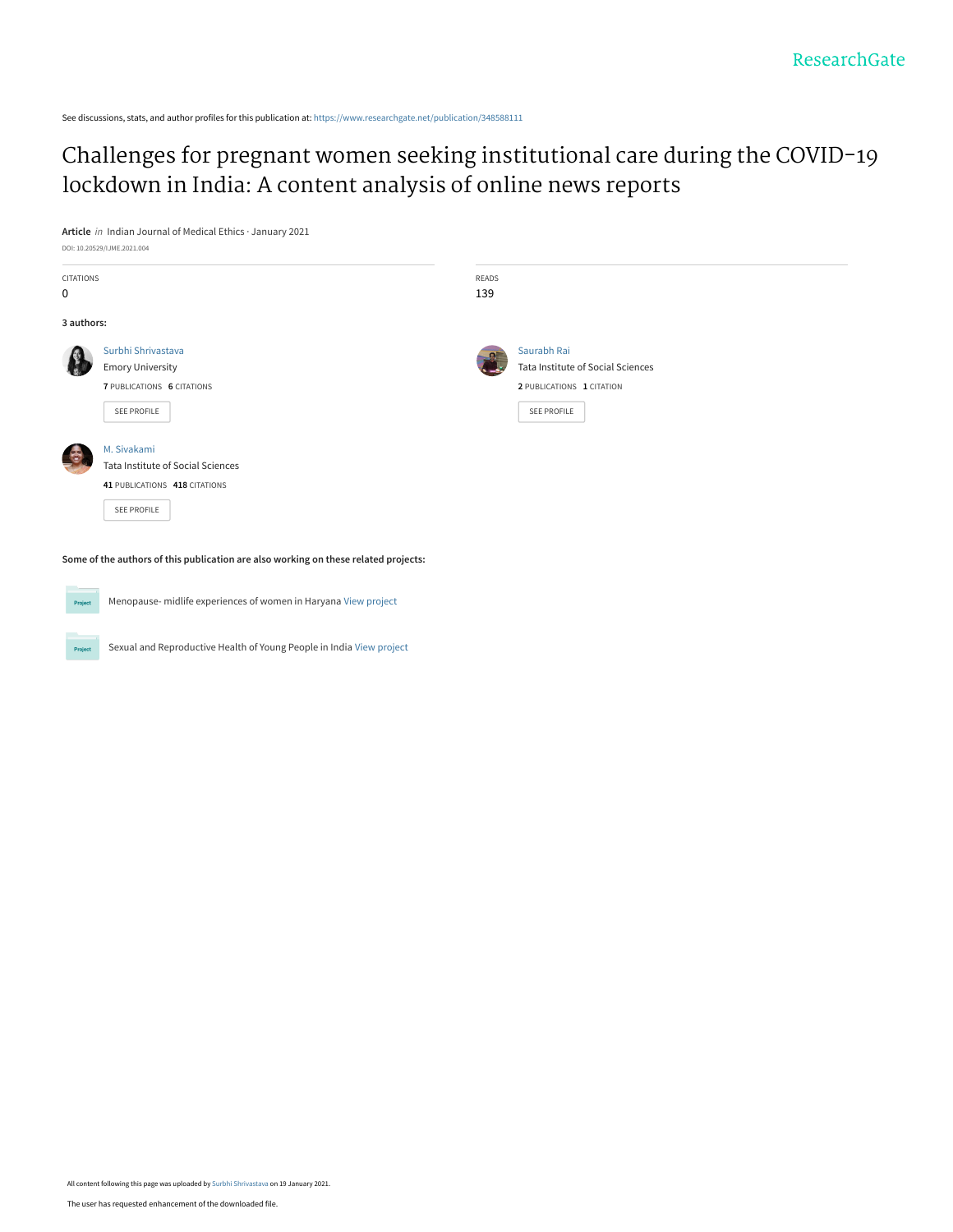See discussions, stats, and author profiles for this publication at: [https://www.researchgate.net/publication/348588111](https://www.researchgate.net/publication/348588111_Challenges_for_pregnant_women_seeking_institutional_care_during_the_COVID-19_lockdown_in_India_A_content_analysis_of_online_news_reports?enrichId=rgreq-a6082bdc2a5df7e78e0241c1bfb29411-XXX&enrichSource=Y292ZXJQYWdlOzM0ODU4ODExMTtBUzo5ODE1MDE5NzM4OTMxMjJAMTYxMTAxOTcxNDQ5Mw%3D%3D&el=1_x_2&_esc=publicationCoverPdf)

[Challenges for pregnant women seeking institutional care during the COVID-19](https://www.researchgate.net/publication/348588111_Challenges_for_pregnant_women_seeking_institutional_care_during_the_COVID-19_lockdown_in_India_A_content_analysis_of_online_news_reports?enrichId=rgreq-a6082bdc2a5df7e78e0241c1bfb29411-XXX&enrichSource=Y292ZXJQYWdlOzM0ODU4ODExMTtBUzo5ODE1MDE5NzM4OTMxMjJAMTYxMTAxOTcxNDQ5Mw%3D%3D&el=1_x_3&_esc=publicationCoverPdf) lockdown in India: A content analysis of online news reports

**Article** in Indian Journal of Medical Ethics · January 2021 DOI: 10.20529/IJME.2021.004

| CITATIONS  |                                   | READS |                                   |
|------------|-----------------------------------|-------|-----------------------------------|
| 0          |                                   | 139   |                                   |
| 3 authors: |                                   |       |                                   |
|            | Surbhi Shrivastava                |       | Saurabh Rai                       |
|            | <b>Emory University</b>           |       | Tata Institute of Social Sciences |
|            | 7 PUBLICATIONS 6 CITATIONS        |       | 2 PUBLICATIONS 1 CITATION         |
|            | SEE PROFILE                       |       | SEE PROFILE                       |
|            | M. Sivakami                       |       |                                   |
|            | Tata Institute of Social Sciences |       |                                   |
|            | 41 PUBLICATIONS 418 CITATIONS     |       |                                   |
|            | SEE PROFILE                       |       |                                   |
|            |                                   |       |                                   |

**Some of the authors of this publication are also working on these related projects:**



Menopause- midlife experiences of women in Haryana [View project](https://www.researchgate.net/project/Menopause-midlife-experiences-of-women-in-Haryana?enrichId=rgreq-a6082bdc2a5df7e78e0241c1bfb29411-XXX&enrichSource=Y292ZXJQYWdlOzM0ODU4ODExMTtBUzo5ODE1MDE5NzM4OTMxMjJAMTYxMTAxOTcxNDQ5Mw%3D%3D&el=1_x_9&_esc=publicationCoverPdf)

Sexual and Reproductive Health of Young People in India [View project](https://www.researchgate.net/project/Sexual-and-Reproductive-Health-of-Young-People-in-India?enrichId=rgreq-a6082bdc2a5df7e78e0241c1bfb29411-XXX&enrichSource=Y292ZXJQYWdlOzM0ODU4ODExMTtBUzo5ODE1MDE5NzM4OTMxMjJAMTYxMTAxOTcxNDQ5Mw%3D%3D&el=1_x_9&_esc=publicationCoverPdf) **Project**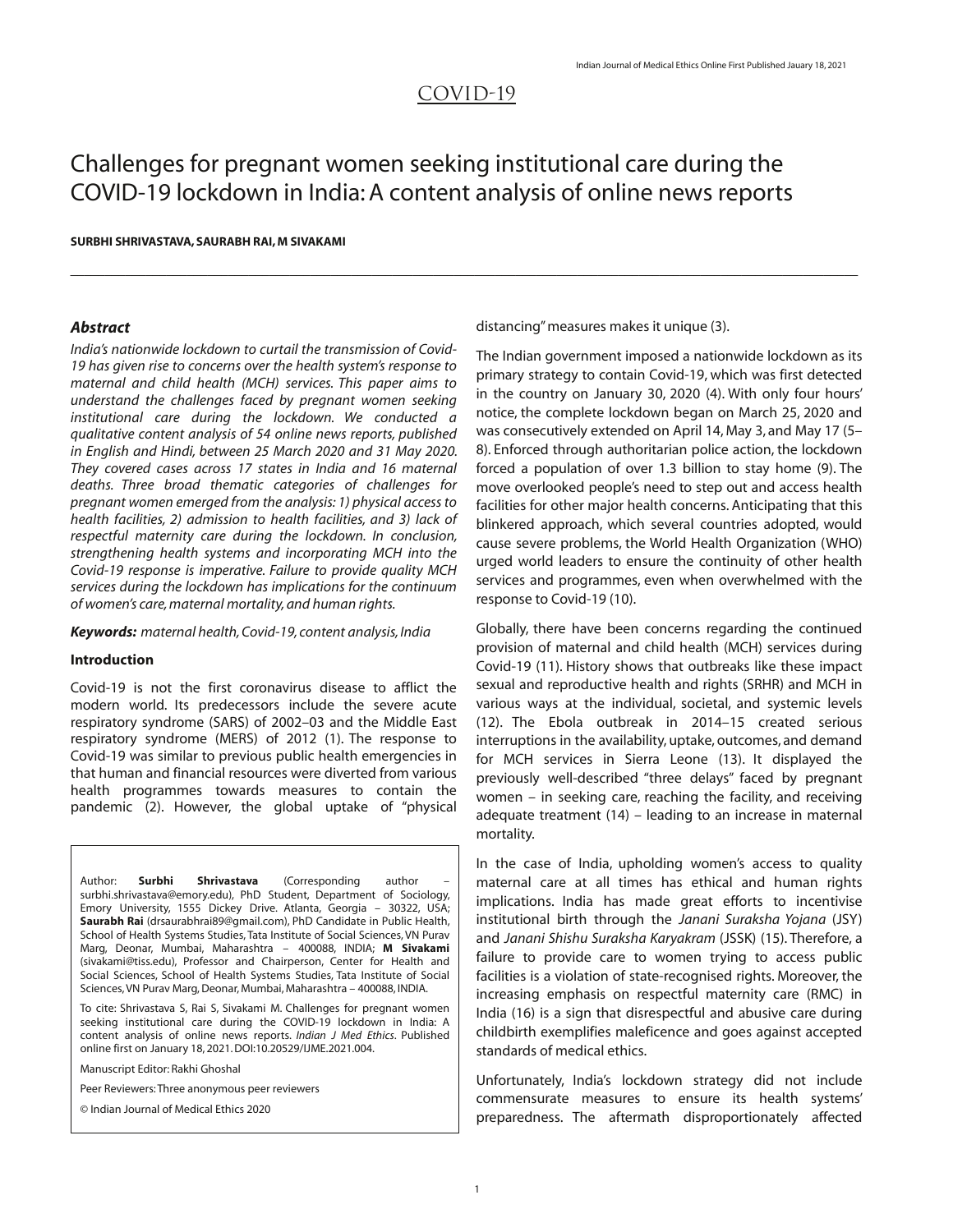# COVID‐19

 $\mathcal{L}_\text{max} = \mathcal{L}_\text{max} = \mathcal{L}_\text{max} = \mathcal{L}_\text{max} = \mathcal{L}_\text{max} = \mathcal{L}_\text{max} = \mathcal{L}_\text{max} = \mathcal{L}_\text{max} = \mathcal{L}_\text{max} = \mathcal{L}_\text{max} = \mathcal{L}_\text{max} = \mathcal{L}_\text{max} = \mathcal{L}_\text{max} = \mathcal{L}_\text{max} = \mathcal{L}_\text{max} = \mathcal{L}_\text{max} = \mathcal{L}_\text{max} = \mathcal{L}_\text{max} = \mathcal{$ 

# Challenges for pregnant women seeking institutional care during the COVID-19 lockdown in India:A content analysis of online news reports

#### **SURBHI SHRIVASTAVA, SAURABH RAI,M SIVAKAMI**

#### *Abstract*

*India's nationwide lockdown to curtail the transmission of Covid-19 has given rise to concerns over the health system's response to maternal and child health (MCH) services. This paper aims to understand the challenges faced by pregnant women seeking institutional care during the lockdown. We conducted a qualitative content analysis of 54 online news reports, published in English and Hindi, between 25 March 2020 and 31 May 2020. They covered cases across 17 states in India and 16 maternal deaths. Three broad thematic categories of challenges for pregnant women emerged from the analysis: 1) physical access to health facilities, 2) admission to health facilities, and 3) lack of respectful maternity care during the lockdown. In conclusion, strengthening health systems and incorporating MCH into the Covid19 response is imperative. Failure to provide quality MCH services during the lockdown has implications for the continuum of women's care,maternal mortality,and human rights.*

*Keywords: maternal health,Covid19, content analysis, India*

#### **Introduction**

Covid-19 is not the first coronavirus disease to afflict the modern world. Its predecessors include the severe acute respiratory syndrome (SARS) of 2002–03 and the Middle East respiratory syndrome (MERS) of 2012 (1). The response to Covid-19 was similar to previous public health emergencies in that human and financial resources were diverted from various health programmes towards measures to contain the pandemic (2). However, the global uptake of "physical

Author: **Surbhi Shrivastava** (Corresponding author – surbhi.shrivastava@emory.edu), PhD Student, Department of Sociology, Emory University, 1555 Dickey Drive. Atlanta, Georgia – 30322, USA; **Saurabh Rai** (drsaurabhrai89@gmail.com), PhD Candidate in Public Health, School of Health Systems Studies, Tata Institute of Social Sciences, VN Purav Marg, Deonar, Mumbai, Maharashtra – 400088, INDIA; **M Sivakami** (sivakami@tiss.edu), Professor and Chairperson, Center for Health and Social Sciences, School of Health Systems Studies, Tata Institute of Social Sciences, VN Purav Marg, Deonar, Mumbai, Maharashtra - 400088, INDIA.

To cite: Shrivastava S, Rai S, Sivakami M. Challenges for pregnant women seeking institutional care during the COVID-19 lockdown in India: A content analysis of online news reports. *Indian J Med Ethics*. Published online first on January 18, 2021.DOI:10.20529/IJME.2021.004.

Manuscript Editor: Rakhi Ghoshal

Peer Reviewers:Three anonymous peer reviewers

© Indian Journal of Medical Ethics 2020

distancing"measures makes it unique (3).

The Indian government imposed a nationwide lockdown as its primary strategy to contain Covid-19, which was first detected in the country on January 30, 2020 (4). With only four hours' notice, the complete lockdown began on March 25, 2020 and was consecutively extended on April 14, May 3, and May 17 (5– 8). Enforced through authoritarian police action, the lockdown forced a population of over 1.3 billion to stay home (9). The move overlooked people's need to step out and access health facilities for other major health concerns. Anticipating that this blinkered approach, which several countries adopted, would cause severe problems, the World Health Organization (WHO) urged world leaders to ensure the continuity of other health services and programmes, even when overwhelmed with the response to Covid-19 (10).

Globally, there have been concerns regarding the continued provision of maternal and child health (MCH) services during Covid-19 (11). History shows that outbreaks like these impact sexual and reproductive health and rights (SRHR) and MCH in various ways at the individual, societal, and systemic levels (12). The Ebola outbreak in 2014–15 created serious interruptions in the availability, uptake, outcomes, and demand for MCH services in Sierra Leone (13). It displayed the previously well-described "three delays" faced by pregnant women – in seeking care, reaching the facility, and receiving adequate treatment (14) – leading to an increase in maternal mortality.

In the case of India, upholding women's access to quality maternal care at all times has ethical and human rights implications. India has made great efforts to incentivise institutional birth through the *Janani Suraksha Yojana* (JSY) and *Janani Shishu Suraksha Karyakram* (JSSK) (15). Therefore, a failure to provide care to women trying to access public facilities is a violation of state-recognised rights. Moreover, the increasing emphasis on respectful maternity care (RMC) in India (16) is a sign that disrespectful and abusive care during childbirth exemplifies maleficence and goes against accepted standards of medical ethics.

Unfortunately, India's lockdown strategy did not include commensurate measures to ensure its health systems' preparedness. The aftermath disproportionately affected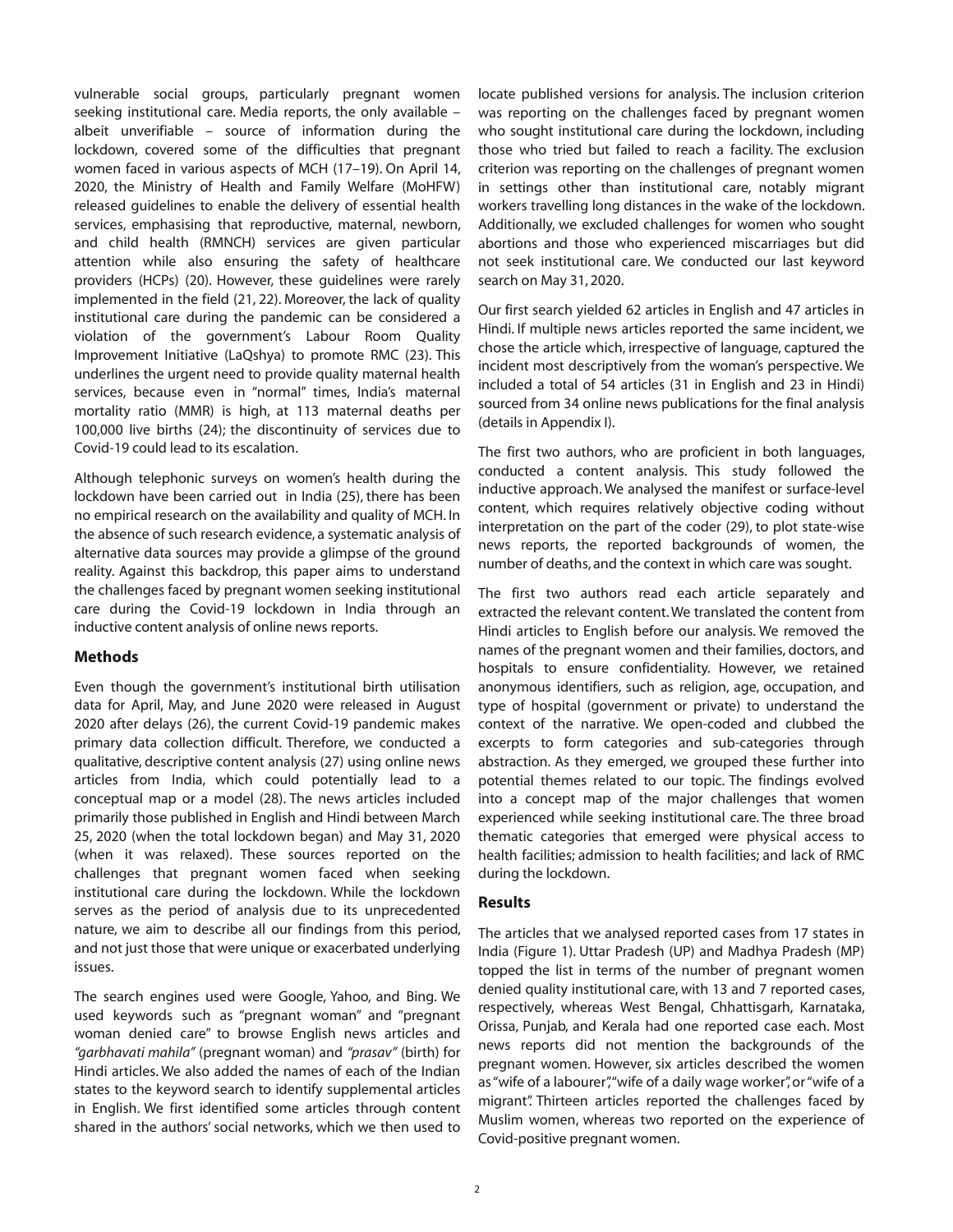vulnerable social groups, particularly pregnant women seeking institutional care. Media reports, the only available – albeit unverifiable – source of information during the lockdown, covered some of the difficulties that pregnant women faced in various aspects of MCH (17–19). On April 14, 2020, the Ministry of Health and Family Welfare (MoHFW) released guidelines to enable the delivery of essential health services, emphasising that reproductive, maternal, newborn, and child health (RMNCH) services are given particular attention while also ensuring the safety of healthcare providers (HCPs) (20). However, these guidelines were rarely implemented in the field (21, 22). Moreover, the lack of quality institutional care during the pandemic can be considered a violation of the government's Labour Room Quality Improvement Initiative (LaQshya) to promote RMC (23). This underlines the urgent need to provide quality maternal health services, because even in "normal" times, India's maternal mortality ratio (MMR) is high, at 113 maternal deaths per 100,000 live births (24); the discontinuity of services due to Covid-19 could lead to its escalation.

Although telephonic surveys on women's health during the lockdown have been carried out in India (25), there has been no empirical research on the availability and quality of MCH. In the absence of such research evidence, a systematic analysis of alternative data sources may provide a glimpse of the ground reality. Against this backdrop, this paper aims to understand the challenges faced by pregnant women seeking institutional care during the Covid-19 lockdown in India through an inductive content analysis of online news reports.

# **Methods**

Even though the government's institutional birth utilisation data for April, May, and June 2020 were released in August 2020 after delays (26), the current Covid-19 pandemic makes primary data collection difficult. Therefore, we conducted a qualitative, descriptive content analysis (27) using online news articles from India, which could potentially lead to a conceptual map or a model (28). The news articles included primarily those published in English and Hindi between March 25, 2020 (when the total lockdown began) and May 31, 2020 (when it was relaxed). These sources reported on the challenges that pregnant women faced when seeking institutional care during the lockdown. While the lockdown serves as the period of analysis due to its unprecedented nature, we aim to describe all our findings from this period, and not just those that were unique or exacerbated underlying issues.

The search engines used were Google, Yahoo, and Bing. We used keywords such as "pregnant woman" and "pregnant woman denied care" to browse English news articles and *"garbhavati mahila"* (pregnant woman) and *"prasav"* (birth) for Hindi articles. We also added the names of each of the Indian states to the keyword search to identify supplemental articles in English. We first identified some articles through content shared in the authors'social networks, which we then used to

locate published versions for analysis. The inclusion criterion was reporting on the challenges faced by pregnant women who sought institutional care during the lockdown, including those who tried but failed to reach a facility. The exclusion criterion was reporting on the challenges of pregnant women in settings other than institutional care, notably migrant workers travelling long distances in the wake of the lockdown. Additionally, we excluded challenges for women who sought abortions and those who experienced miscarriages but did not seek institutional care. We conducted our last keyword search on May 31, 2020.

Our first search yielded 62 articles in English and 47 articles in Hindi. If multiple news articles reported the same incident, we chose the article which, irrespective of language, captured the incident most descriptively from the woman's perspective. We included a total of 54 articles (31 in English and 23 in Hindi) sourced from 34 online news publications for the final analysis (details in Appendix I).

The first two authors, who are proficient in both languages, conducted a content analysis. This study followed the inductive approach. We analysed the manifest or surface-level content, which requires relatively objective coding without interpretation on the part of the coder (29), to plot state-wise news reports, the reported backgrounds of women, the number of deaths, and the context in which care was sought.

The first two authors read each article separately and extracted the relevant content.We translated the content from Hindi articles to English before our analysis. We removed the names of the pregnant women and their families, doctors, and hospitals to ensure confidentiality. However, we retained anonymous identifiers, such as religion, age, occupation, and type of hospital (government or private) to understand the context of the narrative. We open-coded and clubbed the excerpts to form categories and sub-categories through abstraction. As they emerged, we grouped these further into potential themes related to our topic. The findings evolved into a concept map of the major challenges that women experienced while seeking institutional care. The three broad thematic categories that emerged were physical access to health facilities; admission to health facilities; and lack of RMC during the lockdown.

#### **Results**

The articles that we analysed reported cases from 17 states in India (Figure 1). Uttar Pradesh (UP) and Madhya Pradesh (MP) topped the list in terms of the number of pregnant women denied quality institutional care, with 13 and 7 reported cases, respectively, whereas West Bengal, Chhattisgarh, Karnataka, Orissa, Punjab, and Kerala had one reported case each. Most news reports did not mention the backgrounds of the pregnant women. However, six articles described the women as "wife of a labourer", "wife of a daily wage worker", or "wife of a migrant". Thirteen articles reported the challenges faced by Muslim women, whereas two reported on the experience of Covid-positive pregnant women.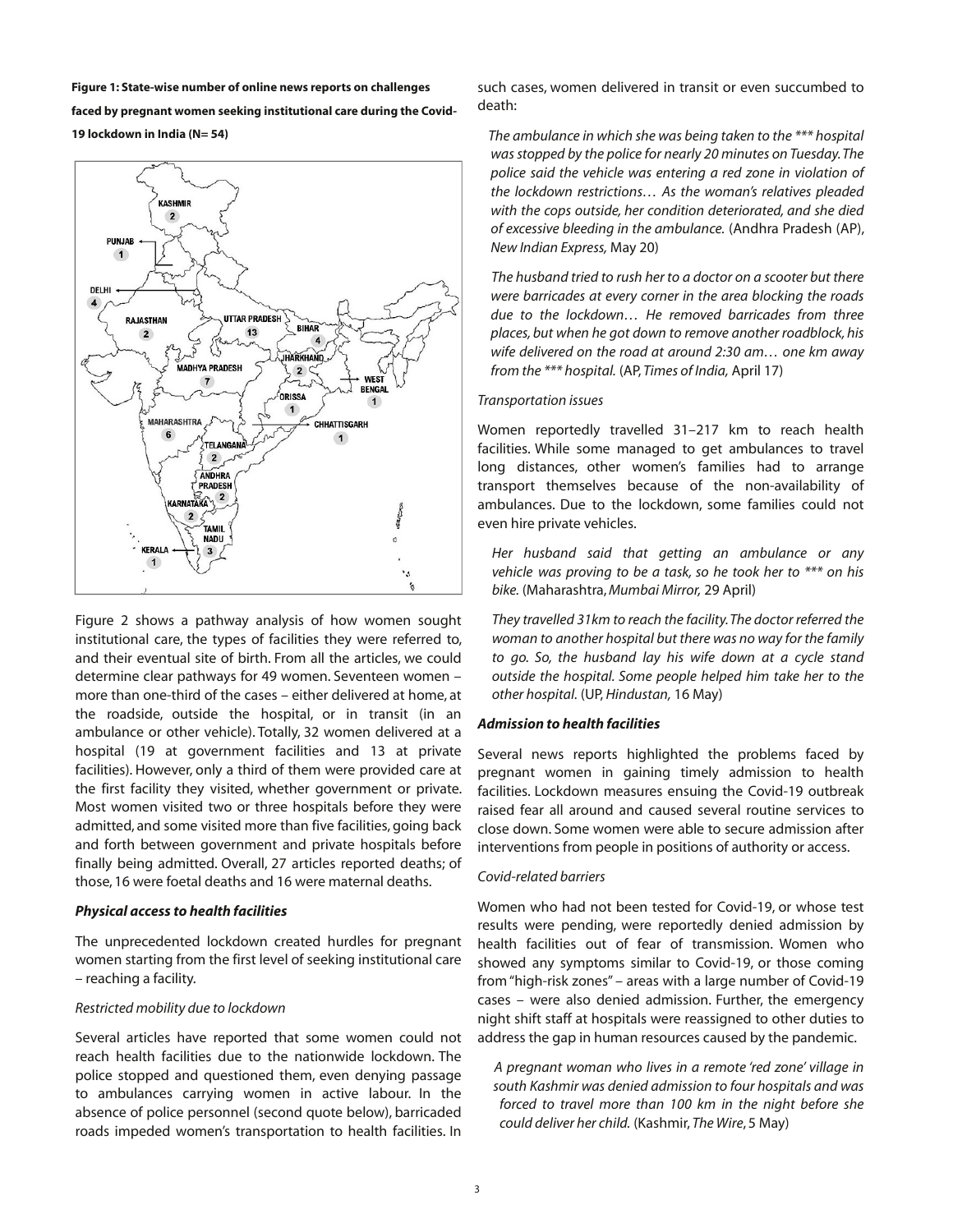**Figure 1: State-wise number of online news reports on challenges faced by pregnant women seeking institutional care during the Covid-19 lockdown in India (N= 54)**



Figure 2 shows a pathway analysis of how women sought institutional care, the types of facilities they were referred to, and their eventual site of birth. From all the articles, we could determine clear pathways for 49 women. Seventeen women – more than one-third of the cases – either delivered at home, at the roadside, outside the hospital, or in transit (in an ambulance or other vehicle). Totally, 32 women delivered at a hospital (19 at government facilities and 13 at private facilities). However, only a third of them were provided care at the first facility they visited, whether government or private. Most women visited two or three hospitals before they were admitted, and some visited more than five facilities, going back and forth between government and private hospitals before finally being admitted. Overall, 27 articles reported deaths; of those, 16 were foetal deaths and 16 were maternal deaths.

#### *Physical access to health facilities*

The unprecedented lockdown created hurdles for pregnant women starting from the first level of seeking institutional care – reaching a facility.

# *Restricted mobility due to lockdown*

Several articles have reported that some women could not reach health facilities due to the nationwide lockdown. The police stopped and questioned them, even denying passage to ambulances carrying women in active labour. In the absence of police personnel (second quote below), barricaded roads impeded women's transportation to health facilities. In

such cases, women delivered in transit or even succumbed to death:

*The ambulance in which she was being taken to the \*\*\* hospital wasstopped by the police for nearly 20 minutes on Tuesday.The police said the vehicle was entering a red zone in violation of the lockdown restrictions… As the woman's relatives pleaded with the cops outside, her condition deteriorated, and she died of excessive bleeding in the ambulance.* (Andhra Pradesh (AP), *New Indian Express,* May 20)

*The husband tried to rush her to a doctor on a scooter but there were barricades at every corner in the area blocking the roads due to the lockdown… He removed barricades from three places, but when he got down to remove another roadblock, his wife delivered on the road at around 2:30 am… one km away from the \*\*\* hospital.* (AP, *Times of India,* April 17)

# *Transportation issues*

Women reportedly travelled 31–217 km to reach health facilities. While some managed to get ambulances to travel long distances, other women's families had to arrange transport themselves because of the non-availability of ambulances. Due to the lockdown, some families could not even hire private vehicles.

*Her husband said that getting an ambulance or any vehicle was proving to be a task, so he took her to \*\*\* on his bike.* (Maharashtra,*Mumbai Mirror,* 29 April)

*They travelled 31km to reach the facility.The doctor referred the woman to another hospital but there was no way for the family to go. So, the husband lay his wife down at a cycle stand outside the hospital. Some people helped him take her to the other hospital.* (UP, *Hindustan,* 16 May)

# *Admission to health facilities*

Several news reports highlighted the problems faced by pregnant women in gaining timely admission to health facilities. Lockdown measures ensuing the Covid-19 outbreak raised fear all around and caused several routine services to close down. Some women were able to secure admission after interventions from people in positions of authority or access.

# *Covidrelated barriers*

Women who had not been tested for Covid-19, or whose test results were pending, were reportedly denied admission by health facilities out of fear of transmission. Women who showed any symptoms similar to Covid-19, or those coming from "high-risk zones" – areas with a large number of Covid-19 cases – were also denied admission. Further, the emergency night shift staff at hospitals were reassigned to other duties to address the gap in human resources caused by the pandemic.

*A pregnant woman who lives in a remote 'red zone' village in south Kashmir was denied admission to four hospitals and was forced to travel more than 100 km in the night before she could deliver her child.* (Kashmir, *The Wire*, 5 May)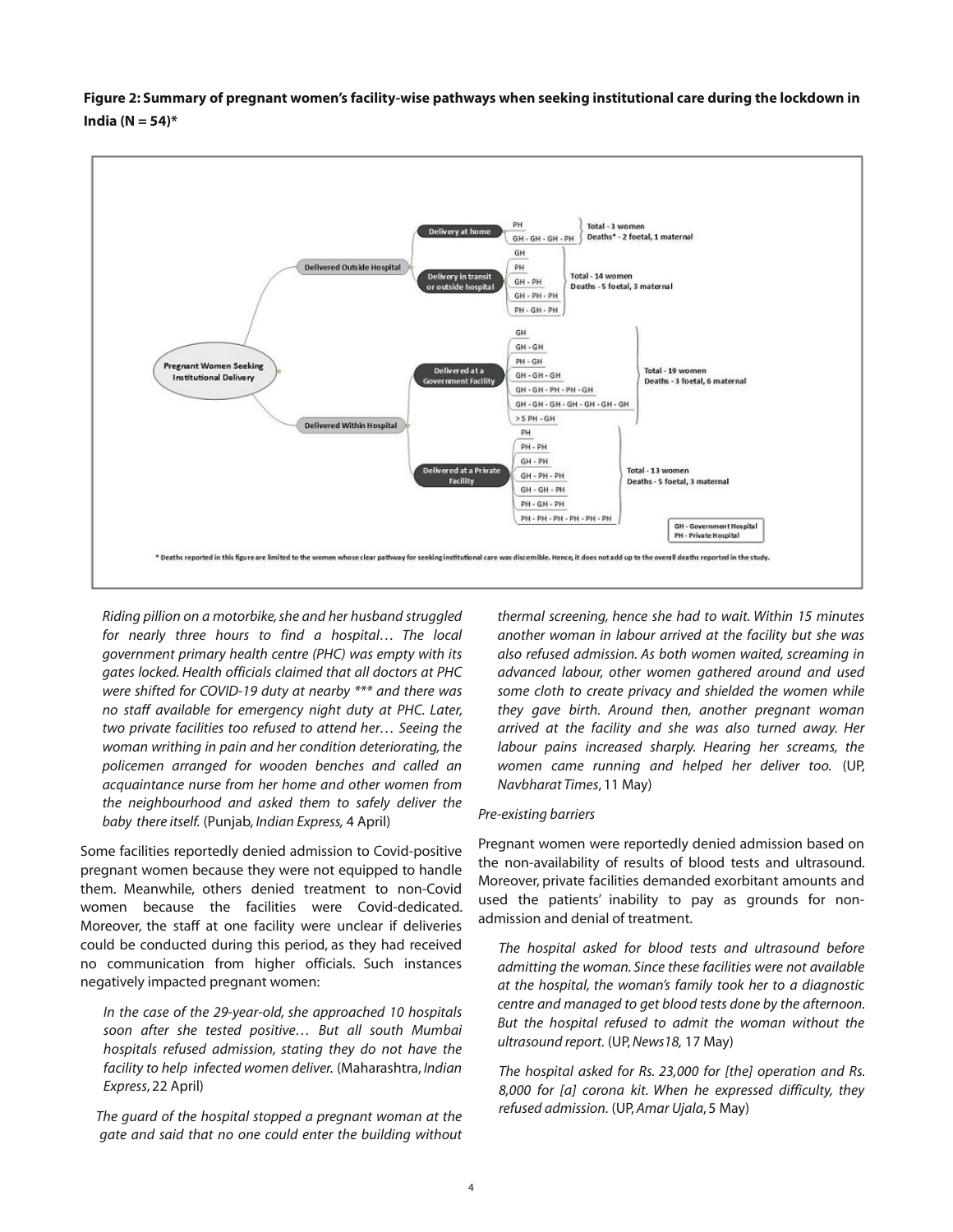



*Riding pillion on a motorbike,she and her husband struggled for nearly three hours to find a hospital… The local government primary health centre (PHC) was empty with its gates locked. Health officials claimed that all doctors at PHC were shifted for COVID19 duty at nearby \*\*\* and there was no staff available for emergency night duty at PHC. Later, two private facilities too refused to attend her… Seeing the woman writhing in pain and her condition deteriorating, the policemen arranged for wooden benches and called an acquaintance nurse from her home and other women from the neighbourhood and asked them to safely deliver the baby there itself.* (Punjab, *Indian Express,* 4 April)

Some facilities reportedly denied admission to Covid-positive pregnant women because they were not equipped to handle them. Meanwhile, others denied treatment to non-Covid women because the facilities were Covid-dedicated. Moreover, the staff at one facility were unclear if deliveries could be conducted during this period, as they had received no communication from higher officials. Such instances negatively impacted pregnant women:

*In* the case of the 29-year-old, she approached 10 hospitals *soon after she tested positive… But all south Mumbai hospitals refused admission, stating they do not have the facility to help infected women deliver.* (Maharashtra, *Indian Express*, 22 April)

*The guard of the hospital stopped a pregnant woman at the gate and said that no one could enter the building without*

*thermal screening, hence she had to wait. Within 15 minutes another woman in labour arrived at the facility but she was also refused admission. As both women waited, screaming in advanced labour, other women gathered around and used some cloth to create privacy and shielded the women while they gave birth. Around then, another pregnant woman arrived at the facility and she was also turned away. Her labour pains increased sharply. Hearing her screams, the women came running and helped her deliver too.* (UP, *Navbharat Times*, 11 May)

#### **Pre-existing** barriers

Pregnant women were reportedly denied admission based on the non-availability of results of blood tests and ultrasound. Moreover, private facilities demanded exorbitant amounts and used the patients' inability to pay as grounds for nonadmission and denial of treatment.

*The hospital asked for blood tests and ultrasound before admitting the woman. Since these facilities were not available at the hospital, the woman's family took her to a diagnostic centre and managed to get blood tests done by the afternoon. But the hospital refused to admit the woman without the ultrasound report.* (UP,*News18,* 17 May)

*The hospital asked for Rs. 23,000 for [the] operation and Rs. 8,000 for [a] corona kit. When he expressed difficulty, they refused admission.* (UP,*Amar Ujala*, 5 May)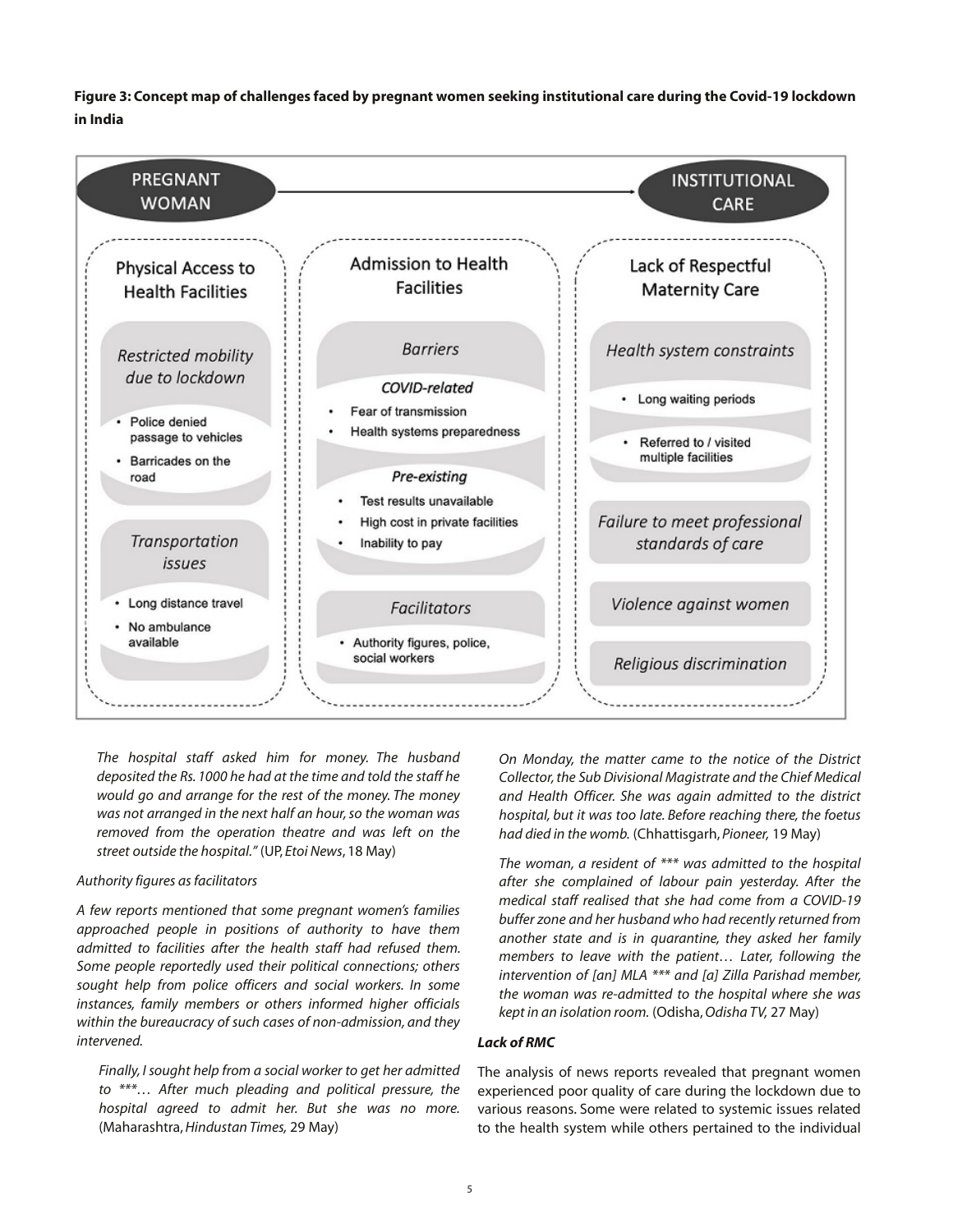Figure 3: Concept map of challenges faced by pregnant women seeking institutional care during the Covid-19 lockdown **in India**



*The hospital staff asked him for money. The husband deposited the Rs. 1000 he had at the time and told the staff he would go and arrange for the rest of the money. The money was not arranged in the next half an hour,so the woman was removed from the operation theatre and was left on the street outside the hospital."* (UP, *Etoi News*, 18 May)

# *Authority figures asfacilitators*

*A few reports mentioned that some pregnant women's families approached people in positions of authority to have them admitted to facilities after the health staff had refused them. Some people reportedly used their political connections; others sought help from police officers and social workers. In some instances, family members or others informed higher officials within the bureaucracy of such cases of non-admission, and they intervened.*

*Finally, I sought help from a social worker to get her admitted to \*\*\*… After much pleading and political pressure, the hospital agreed to admit her. But she was no more.* (Maharashtra,*Hindustan Times,* 29 May)

*On Monday, the matter came to the notice of the District Collector,the Sub Divisional Magistrate and the Chief Medical and Health Officer. She was again admitted to the district hospital, but it was too late. Before reaching there, the foetus had died in the womb.* (Chhattisgarh, *Pioneer,* 19 May)

*The woman, a resident of \*\*\* was admitted to the hospital after she complained of labour pain yesterday. After the medical staff realised that she had come from a COVID19 buffer zone and her husband who had recently returned from another state and is in quarantine, they asked her family members to leave with the patient… Later, following the intervention of [an] MLA \*\*\* and [a] Zilla Parishad member, the woman was readmitted to the hospital where she was kept in an isolation room.* (Odisha,*Odisha TV,* 27 May)

#### *Lack of RMC*

The analysis of news reports revealed that pregnant women experienced poor quality of care during the lockdown due to various reasons. Some were related to systemic issues related to the health system while others pertained to the individual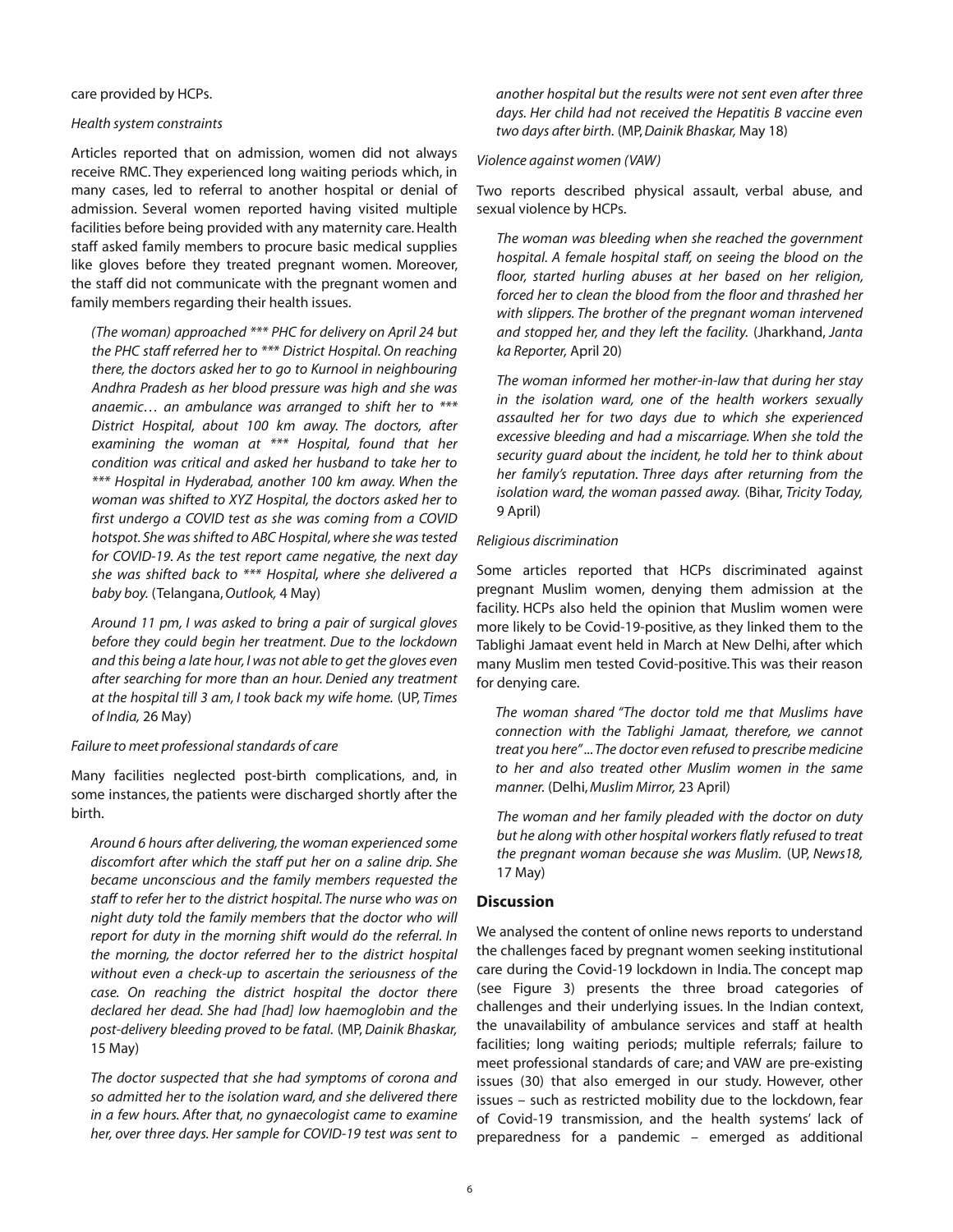care provided by HCPs.

## *Health system constraints*

Articles reported that on admission, women did not always receive RMC. They experienced long waiting periods which, in many cases, led to referral to another hospital or denial of admission. Several women reported having visited multiple facilities before being provided with any maternity care. Health staff asked family members to procure basic medical supplies like gloves before they treated pregnant women. Moreover, the staff did not communicate with the pregnant women and family members regarding their health issues.

*(The woman) approached \*\*\* PHC for delivery on April 24 but the PHC staff referred her to \*\*\* District Hospital. On reaching there, the doctors asked her to go to Kurnool in neighbouring Andhra Pradesh as her blood pressure was high and she was anaemic… an ambulance was arranged to shift her to \*\*\* District Hospital, about 100 km away. The doctors, after examining the woman at \*\*\* Hospital, found that her condition was critical and asked her husband to take her to \*\*\* Hospital in Hyderabad, another 100 km away. When the woman was shifted to XYZ Hospital, the doctors asked her to first undergo a COVID test as she was coming from a COVID hotspot. She wasshifted to ABC Hospital,where she wastested for COVID19. As the test report came negative, the next day she was shifted back to \*\*\* Hospital, where she delivered a baby boy.* (Telangana,*Outlook,* 4 May)

*Around 11 pm, I was asked to bring a pair of surgical gloves before they could begin her treatment. Due to the lockdown and this being a late hour, I was not able to get the gloves even after searching for more than an hour. Denied any treatment at the hospital till 3 am, I took back my wife home.* (UP, *Times of India,* 26 May)

# *Failure to meet professionalstandards of care*

Many facilities neglected post-birth complications, and, in some instances, the patients were discharged shortly after the birth.

*Around 6 hours after delivering, the woman experienced some discomfort after which the staff put her on a saline drip. She became unconscious and the family members requested the staff to refer her to the district hospital. The nurse who was on night duty told the family members that the doctor who will report for duty in the morning shift would do the referral. In the morning, the doctor referred her to the district hospital without even a checkup to ascertain the seriousness of the case. On reaching the district hospital the doctor there declared her dead. She had [had] low haemoglobin and the post-delivery bleeding proved to be fatal.* (MP, *Dainik Bhaskar*, 15 May)

*The doctor suspected that she had symptoms of corona and so admitted her to the isolation ward, and she delivered there in a few hours. After that, no gynaecologist came to examine her, over three days. Her sample for COVID19 test was sent to*

*another hospital but the results were not sent even after three days. Her child had not received the Hepatitis B vaccine even two days after birth.* (MP,*Dainik Bhaskar,* May 18)

# *Violence against women (VAW)*

Two reports described physical assault, verbal abuse, and sexual violence by HCPs.

*The woman was bleeding when she reached the government hospital. A female hospital staff, on seeing the blood on the floor, started hurling abuses at her based on her religion, forced her to clean the blood from the floor and thrashed her with slippers. The brother of the pregnant woman intervened and stopped her, and they left the facility.* (Jharkhand, *Janta ka Reporter,* April 20)

*The woman informed her motherinlaw that during her stay in the isolation ward, one of the health workers sexually assaulted her for two days due to which she experienced excessive bleeding and had a miscarriage. When she told the security guard about the incident, he told her to think about her family's reputation. Three days after returning from the isolation ward, the woman passed away.* (Bihar, *Tricity Today,* 9 April)

# *Religious discrimination*

Some articles reported that HCPs discriminated against pregnant Muslim women, denying them admission at the facility. HCPs also held the opinion that Muslim women were more likely to be Covid-19-positive, as they linked them to the Tablighi Jamaat event held in March at New Delhi, after which many Muslim men tested Covid-positive. This was their reason for denying care.

*The woman shared "The doctor told me that Muslims have connection with the Tablighi Jamaat, therefore, we cannot treat you here"...The doctor even refused to prescribe medicine to her and also treated other Muslim women in the same manner.* (Delhi,*Muslim Mirror,* 23 April)

*The woman and her family pleaded with the doctor on duty but he along with other hospital workers flatly refused to treat the pregnant woman because she was Muslim.* (UP, *News18,* 17 May)

# **Discussion**

We analysed the content of online news reports to understand the challenges faced by pregnant women seeking institutional care during the Covid-19 lockdown in India. The concept map (see Figure 3) presents the three broad categories of challenges and their underlying issues. In the Indian context, the unavailability of ambulance services and staff at health facilities; long waiting periods; multiple referrals; failure to meet professional standards of care; and VAW are pre-existing issues (30) that also emerged in our study. However, other issues – such as restricted mobility due to the lockdown, fear of Covid-19 transmission, and the health systems' lack of preparedness for a pandemic – emerged as additional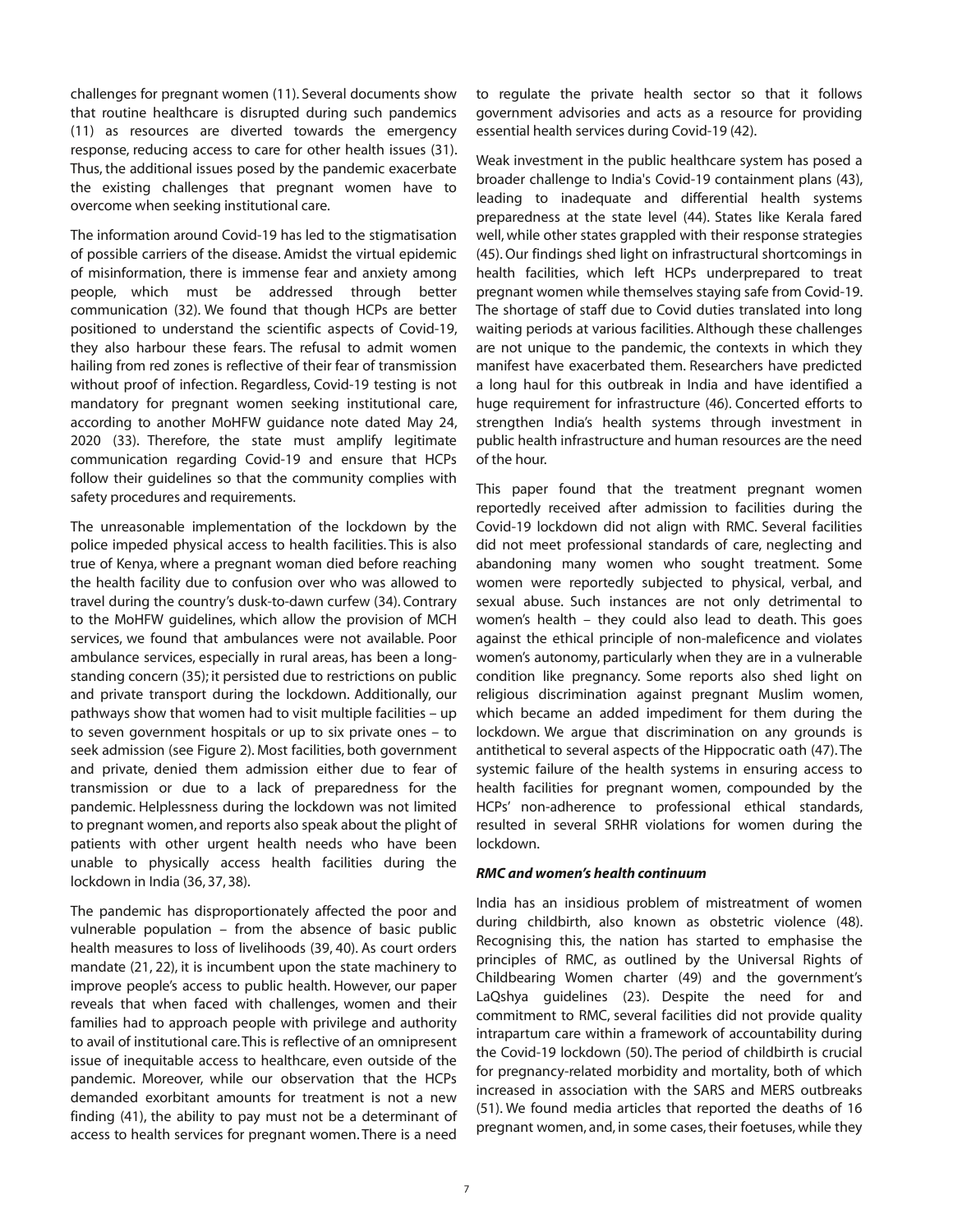challenges for pregnant women (11). Several documents show that routine healthcare is disrupted during such pandemics (11) as resources are diverted towards the emergency response, reducing access to care for other health issues (31). Thus, the additional issues posed by the pandemic exacerbate the existing challenges that pregnant women have to overcome when seeking institutional care.

The information around Covid-19 has led to the stigmatisation of possible carriers of the disease. Amidst the virtual epidemic of misinformation, there is immense fear and anxiety among people, which must be addressed through better communication (32). We found that though HCPs are better positioned to understand the scientific aspects of Covid-19, they also harbour these fears. The refusal to admit women hailing from red zones is reflective of their fear of transmission without proof of infection. Regardless, Covid-19 testing is not mandatory for pregnant women seeking institutional care, according to another MoHFW guidance note dated May 24, 2020 (33). Therefore, the state must amplify legitimate communication regarding Covid-19 and ensure that HCPs follow their guidelines so that the community complies with safety procedures and requirements.

The unreasonable implementation of the lockdown by the police impeded physical access to health facilities. This is also true of Kenya, where a pregnant woman died before reaching the health facility due to confusion over who was allowed to travel during the country's dusk-to-dawn curfew (34). Contrary to the MoHFW guidelines, which allow the provision of MCH services, we found that ambulances were not available. Poor ambulance services, especially in rural areas, has been a longstanding concern (35); it persisted due to restrictions on public and private transport during the lockdown. Additionally, our pathways show that women had to visit multiple facilities – up to seven government hospitals or up to six private ones – to seek admission (see Figure 2). Most facilities, both government and private, denied them admission either due to fear of transmission or due to a lack of preparedness for the pandemic. Helplessness during the lockdown was not limited to pregnant women, and reports also speak about the plight of patients with other urgent health needs who have been unable to physically access health facilities during the lockdown in India (36, 37, 38).

The pandemic has disproportionately affected the poor and vulnerable population – from the absence of basic public health measures to loss of livelihoods (39, 40). As court orders mandate (21, 22), it is incumbent upon the state machinery to improve people's access to public health. However, our paper reveals that when faced with challenges, women and their families had to approach people with privilege and authority to avail of institutional care.This is reflective of an omnipresent issue of inequitable access to healthcare, even outside of the pandemic. Moreover, while our observation that the HCPs demanded exorbitant amounts for treatment is not a new finding (41), the ability to pay must not be a determinant of access to health services for pregnant women. There is a need

to regulate the private health sector so that it follows government advisories and acts as a resource for providing essential health services during Covid-19 (42).

Weak investment in the public healthcare system has posed a broader challenge to India's Covid-19 containment plans (43), leading to inadequate and differential health systems preparedness at the state level (44). States like Kerala fared well, while other states grappled with their response strategies (45). Our findings shed light on infrastructural shortcomings in health facilities, which left HCPs underprepared to treat pregnant women while themselves staying safe from Covid-19. The shortage of staff due to Covid duties translated into long waiting periods at various facilities. Although these challenges are not unique to the pandemic, the contexts in which they manifest have exacerbated them. Researchers have predicted a long haul for this outbreak in India and have identified a huge requirement for infrastructure (46). Concerted efforts to strengthen India's health systems through investment in public health infrastructure and human resources are the need of the hour.

This paper found that the treatment pregnant women reportedly received after admission to facilities during the Covid-19 lockdown did not align with RMC. Several facilities did not meet professional standards of care, neglecting and abandoning many women who sought treatment. Some women were reportedly subjected to physical, verbal, and sexual abuse. Such instances are not only detrimental to women's health – they could also lead to death. This goes against the ethical principle of non-maleficence and violates women's autonomy, particularly when they are in a vulnerable condition like pregnancy. Some reports also shed light on religious discrimination against pregnant Muslim women, which became an added impediment for them during the lockdown. We argue that discrimination on any grounds is antithetical to several aspects of the Hippocratic oath (47). The systemic failure of the health systems in ensuring access to health facilities for pregnant women, compounded by the HCPs' non-adherence to professional ethical standards, resulted in several SRHR violations for women during the lockdown.

#### *RMC and women's health continuum*

India has an insidious problem of mistreatment of women during childbirth, also known as obstetric violence (48). Recognising this, the nation has started to emphasise the principles of RMC, as outlined by the Universal Rights of Childbearing Women charter (49) and the government's LaQshya guidelines (23). Despite the need for and commitment to RMC, several facilities did not provide quality intrapartum care within a framework of accountability during the Covid-19 lockdown (50). The period of childbirth is crucial for pregnancy-related morbidity and mortality, both of which increased in association with the SARS and MERS outbreaks (51). We found media articles that reported the deaths of 16 pregnant women, and, in some cases, their foetuses, while they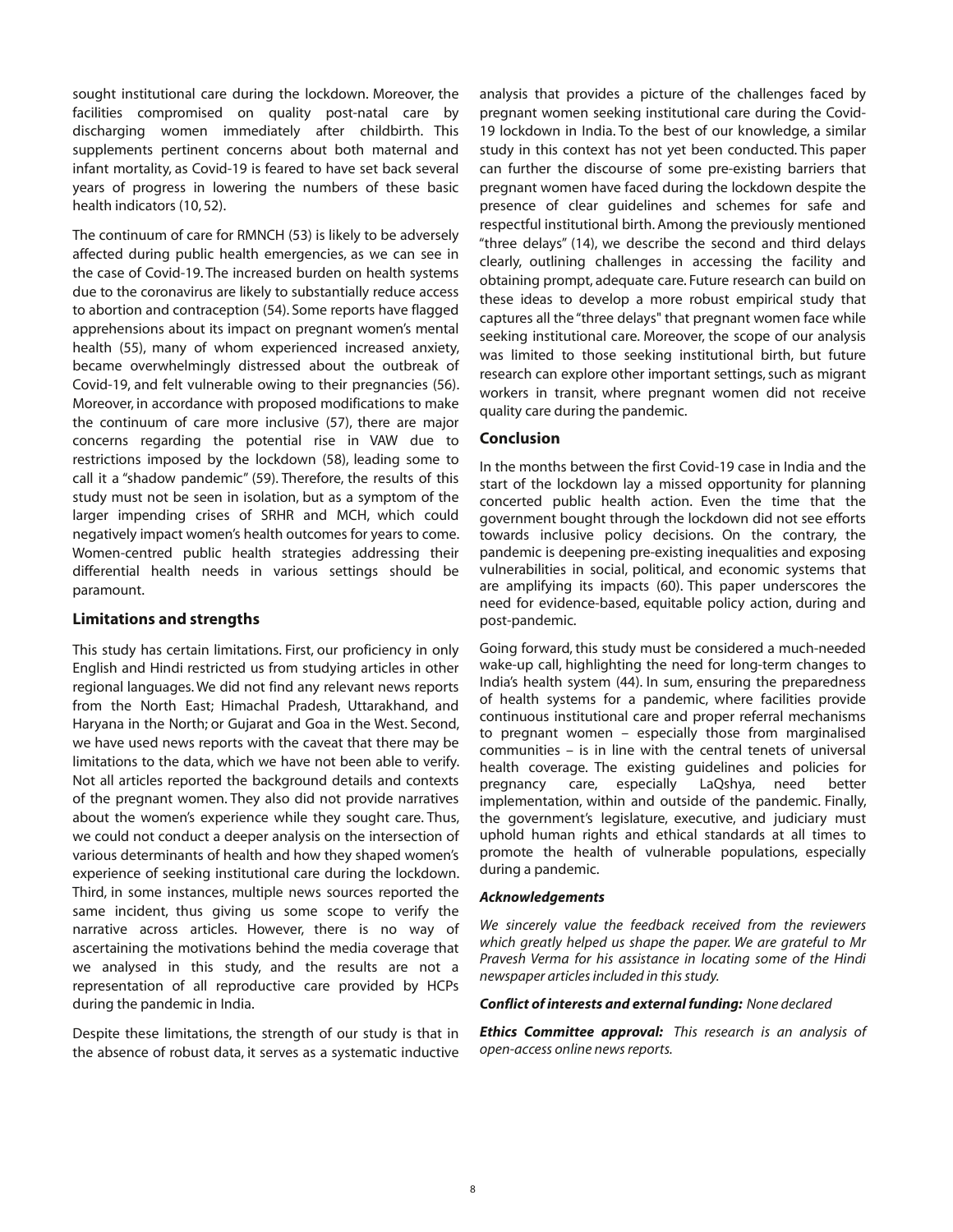sought institutional care during the lockdown. Moreover, the facilities compromised on quality post-natal care by discharging women immediately after childbirth. This supplements pertinent concerns about both maternal and infant mortality, as Covid-19 is feared to have set back several years of progress in lowering the numbers of these basic health indicators (10, 52).

The continuum of care for RMNCH (53) is likely to be adversely affected during public health emergencies, as we can see in the case of Covid-19. The increased burden on health systems due to the coronavirus are likely to substantially reduce access to abortion and contraception (54). Some reports have flagged apprehensions about its impact on pregnant women's mental health (55), many of whom experienced increased anxiety, became overwhelmingly distressed about the outbreak of Covid-19, and felt vulnerable owing to their pregnancies (56). Moreover, in accordance with proposed modifications to make the continuum of care more inclusive (57), there are major concerns regarding the potential rise in VAW due to restrictions imposed by the lockdown (58), leading some to call it a "shadow pandemic" (59). Therefore, the results of this study must not be seen in isolation, but as a symptom of the larger impending crises of SRHR and MCH, which could negatively impact women's health outcomes for years to come. Women-centred public health strategies addressing their differential health needs in various settings should be paramount.

# **Limitations and strengths**

This study has certain limitations. First, our proficiency in only English and Hindi restricted us from studying articles in other regional languages. We did not find any relevant news reports from the North East; Himachal Pradesh, Uttarakhand, and Haryana in the North; or Gujarat and Goa in the West. Second, we have used news reports with the caveat that there may be limitations to the data, which we have not been able to verify. Not all articles reported the background details and contexts of the pregnant women. They also did not provide narratives about the women's experience while they sought care. Thus, we could not conduct a deeper analysis on the intersection of various determinants of health and how they shaped women's experience of seeking institutional care during the lockdown. Third, in some instances, multiple news sources reported the same incident, thus giving us some scope to verify the narrative across articles. However, there is no way of ascertaining the motivations behind the media coverage that we analysed in this study, and the results are not a representation of all reproductive care provided by HCPs during the pandemic in India.

Despite these limitations, the strength of our study is that in the absence of robust data, it serves as a systematic inductive analysis that provides a picture of the challenges faced by pregnant women seeking institutional care during the Covid-19 lockdown in India. To the best of our knowledge, a similar study in this context has not yet been conducted. This paper can further the discourse of some pre-existing barriers that pregnant women have faced during the lockdown despite the presence of clear guidelines and schemes for safe and respectful institutional birth. Among the previously mentioned "three delays" (14), we describe the second and third delays clearly, outlining challenges in accessing the facility and obtaining prompt, adequate care. Future research can build on these ideas to develop a more robust empirical study that captures all the "three delays" that pregnant women face while seeking institutional care. Moreover, the scope of our analysis was limited to those seeking institutional birth, but future research can explore other important settings, such as migrant workers in transit, where pregnant women did not receive quality care during the pandemic.

#### **Conclusion**

In the months between the first Covid-19 case in India and the start of the lockdown lay a missed opportunity for planning concerted public health action. Even the time that the government bought through the lockdown did not see efforts towards inclusive policy decisions. On the contrary, the pandemic is deepening pre-existing inequalities and exposing vulnerabilities in social, political, and economic systems that are amplifying its impacts (60). This paper underscores the need for evidence-based, equitable policy action, during and post-pandemic.

Going forward, this study must be considered a much-needed wake-up call, highlighting the need for long-term changes to India's health system (44). In sum, ensuring the preparedness of health systems for a pandemic, where facilities provide continuous institutional care and proper referral mechanisms to pregnant women – especially those from marginalised communities – is in line with the central tenets of universal health coverage. The existing guidelines and policies for pregnancy care, especially LaQshya, need better implementation, within and outside of the pandemic. Finally, the government's legislature, executive, and judiciary must uphold human rights and ethical standards at all times to promote the health of vulnerable populations, especially during a pandemic.

#### *Acknowledgements*

*We sincerely value the feedback received from the reviewers which greatly helped us shape the paper. We are grateful to Mr Pravesh Verma for his assistance in locating some of the Hindi newspaper articles included in this study.* 

#### *Conflict of interests and external funding: None declared*

*Ethics Committee approval: This research is an analysis of openaccess online newsreports.*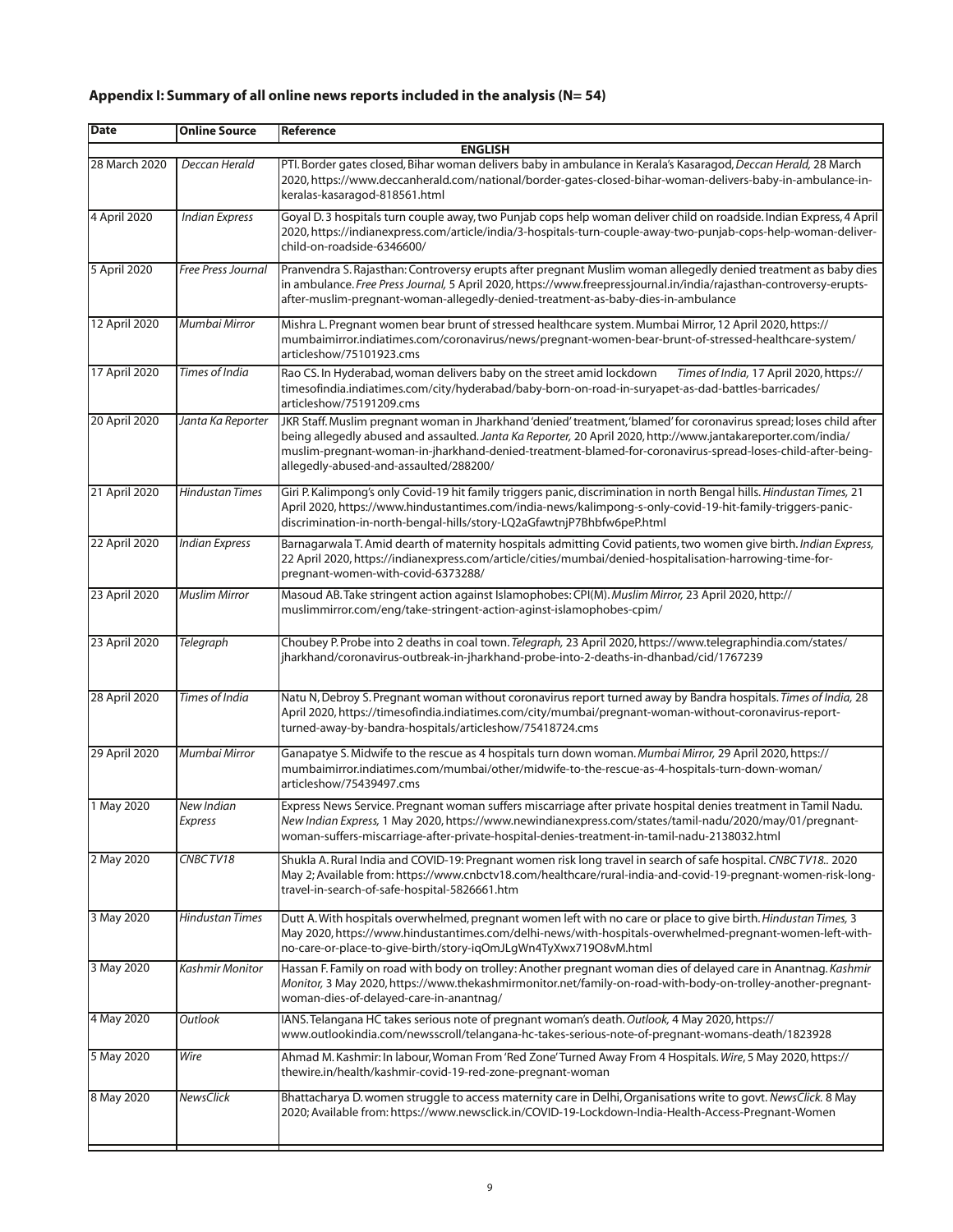# **Appendix I: Summary of all online news reports included in the analysis (N= 54)**

| Date           | <b>Online Source</b>         | Reference                                                                                                                                                                                                                                                                                                                                                                                     |  |  |
|----------------|------------------------------|-----------------------------------------------------------------------------------------------------------------------------------------------------------------------------------------------------------------------------------------------------------------------------------------------------------------------------------------------------------------------------------------------|--|--|
| <b>ENGLISH</b> |                              |                                                                                                                                                                                                                                                                                                                                                                                               |  |  |
| 28 March 2020  | Deccan Herald                | PTI. Border gates closed, Bihar woman delivers baby in ambulance in Kerala's Kasaragod, Deccan Herald, 28 March<br>2020, https://www.deccanherald.com/national/border-gates-closed-bihar-woman-delivers-baby-in-ambulance-in-<br>keralas-kasaragod-818561.html                                                                                                                                |  |  |
| 4 April 2020   | Indian Express               | Goyal D.3 hospitals turn couple away, two Punjab cops help woman deliver child on roadside. Indian Express, 4 April<br>2020, https://indianexpress.com/article/india/3-hospitals-turn-couple-away-two-punjab-cops-help-woman-deliver-<br>child-on-roadside-6346600/                                                                                                                           |  |  |
| 5 April 2020   | <b>Free Press Journal</b>    | Pranvendra S. Rajasthan: Controversy erupts after pregnant Muslim woman allegedly denied treatment as baby dies<br>in ambulance. Free Press Journal, 5 April 2020, https://www.freepressjournal.in/india/rajasthan-controversy-erupts-<br>after-muslim-pregnant-woman-allegedly-denied-treatment-as-baby-dies-in-ambulance                                                                    |  |  |
| 12 April 2020  | Mumbai Mirror                | Mishra L. Pregnant women bear brunt of stressed healthcare system. Mumbai Mirror, 12 April 2020, https://<br>mumbaimirror.indiatimes.com/coronavirus/news/pregnant-women-bear-brunt-of-stressed-healthcare-system/<br>articleshow/75101923.cms                                                                                                                                                |  |  |
| 17 April 2020  | Times of India               | Rao CS. In Hyderabad, woman delivers baby on the street amid lockdown<br>Times of India, 17 April 2020, https://<br>timesofindia.indiatimes.com/city/hyderabad/baby-born-on-road-in-suryapet-as-dad-battles-barricades/<br>articleshow/75191209.cms                                                                                                                                           |  |  |
| 20 April 2020  | Janta Ka Reporter            | JKR Staff. Muslim pregnant woman in Jharkhand 'denied' treatment, 'blamed' for coronavirus spread; loses child after<br>being allegedly abused and assaulted. Janta Ka Reporter, 20 April 2020, http://www.jantakareporter.com/india/<br>muslim-pregnant-woman-in-jharkhand-denied-treatment-blamed-for-coronavirus-spread-loses-child-after-being-<br>allegedly-abused-and-assaulted/288200/ |  |  |
| 21 April 2020  | <b>Hindustan Times</b>       | Giri P. Kalimpong's only Covid-19 hit family triggers panic, discrimination in north Bengal hills. Hindustan Times, 21<br>-April 2020, https://www.hindustantimes.com/india-news/kalimpong-s-only-covid-19-hit-family-triggers-panic<br>discrimination-in-north-bengal-hills/story-LQ2aGfawtnjP7Bhbfw6peP.html                                                                                |  |  |
| 22 April 2020  | <b>Indian Express</b>        | Barnagarwala T. Amid dearth of maternity hospitals admitting Covid patients, two women give birth. Indian Express,<br>22 April 2020, https://indianexpress.com/article/cities/mumbai/denied-hospitalisation-harrowing-time-for-<br>pregnant-women-with-covid-6373288/                                                                                                                         |  |  |
| 23 April 2020  | <b>Muslim Mirror</b>         | Masoud AB. Take stringent action against Islamophobes: CPI(M). Muslim Mirror, 23 April 2020, http://<br>muslimmirror.com/eng/take-stringent-action-aginst-islamophobes-cpim/                                                                                                                                                                                                                  |  |  |
| 23 April 2020  | Telegraph                    | Choubey P. Probe into 2 deaths in coal town. Telegraph, 23 April 2020, https://www.telegraphindia.com/states/<br>jharkhand/coronavirus-outbreak-in-jharkhand-probe-into-2-deaths-in-dhanbad/cid/1767239                                                                                                                                                                                       |  |  |
| 28 April 2020  | Times of India               | Natu N, Debroy S. Pregnant woman without coronavirus report turned away by Bandra hospitals. Times of India, 28<br>-April 2020, https://timesofindia.indiatimes.com/city/mumbai/pregnant-woman-without-coronavirus-report<br>turned-away-by-bandra-hospitals/articleshow/75418724.cms                                                                                                         |  |  |
| 29 April 2020  | Mumbai Mirror                | Ganapatye S. Midwife to the rescue as 4 hospitals turn down woman. Mumbai Mirror, 29 April 2020, https://<br>mumbaimirror.indiatimes.com/mumbai/other/midwife-to-the-rescue-as-4-hospitals-turn-down-woman/<br>articleshow/75439497.cms                                                                                                                                                       |  |  |
| 1 May 2020     | New Indian<br><b>Express</b> | Express News Service. Pregnant woman suffers miscarriage after private hospital denies treatment in Tamil Nadu.<br>New Indian Express, 1 May 2020, https://www.newindianexpress.com/states/tamil-nadu/2020/may/01/pregnant-<br>woman-suffers-miscarriage-after-private-hospital-denies-treatment-in-tamil-nadu-2138032.html                                                                   |  |  |
| 2 May 2020     | CNBCTV18                     | Shukla A. Rural India and COVID-19: Pregnant women risk long travel in search of safe hospital. CNBC TV18 2020<br>May 2; Available from: https://www.cnbctv18.com/healthcare/rural-india-and-covid-19-pregnant-women-risk-long-<br>travel-in-search-of-safe-hospital-5826661.htm                                                                                                              |  |  |
| 3 May 2020     | <b>Hindustan Times</b>       | Dutt A. With hospitals overwhelmed, pregnant women left with no care or place to give birth. Hindustan Times, 3<br>May 2020, https://www.hindustantimes.com/delhi-news/with-hospitals-overwhelmed-pregnant-women-left-with-<br>no-care-or-place-to-give-birth/story-iqOmJLgWn4TyXwx719O8vM.html                                                                                               |  |  |
| 3 May 2020     | <b>Kashmir Monitor</b>       | Hassan F. Family on road with body on trolley: Another pregnant woman dies of delayed care in Anantnag. Kashmir<br>Monitor, 3 May 2020, https://www.thekashmirmonitor.net/family-on-road-with-body-on-trolley-another-pregnant-<br>woman-dies-of-delayed-care-in-anantnag/                                                                                                                    |  |  |
| 4 May 2020     | Outlook                      | IANS. Telangana HC takes serious note of pregnant woman's death. Outlook, 4 May 2020, https://<br>www.outlookindia.com/newsscroll/telangana-hc-takes-serious-note-of-pregnant-womans-death/1823928                                                                                                                                                                                            |  |  |
| 5 May 2020     | Wire                         | Ahmad M. Kashmir: In labour, Woman From 'Red Zone' Turned Away From 4 Hospitals. Wire, 5 May 2020, https://<br>thewire.in/health/kashmir-covid-19-red-zone-pregnant-woman                                                                                                                                                                                                                     |  |  |
| 8 May 2020     | NewsClick                    | Bhattacharya D. women struggle to access maternity care in Delhi, Organisations write to govt. NewsClick. 8 May<br>2020; Available from: https://www.newsclick.in/COVID-19-Lockdown-India-Health-Access-Pregnant-Women                                                                                                                                                                        |  |  |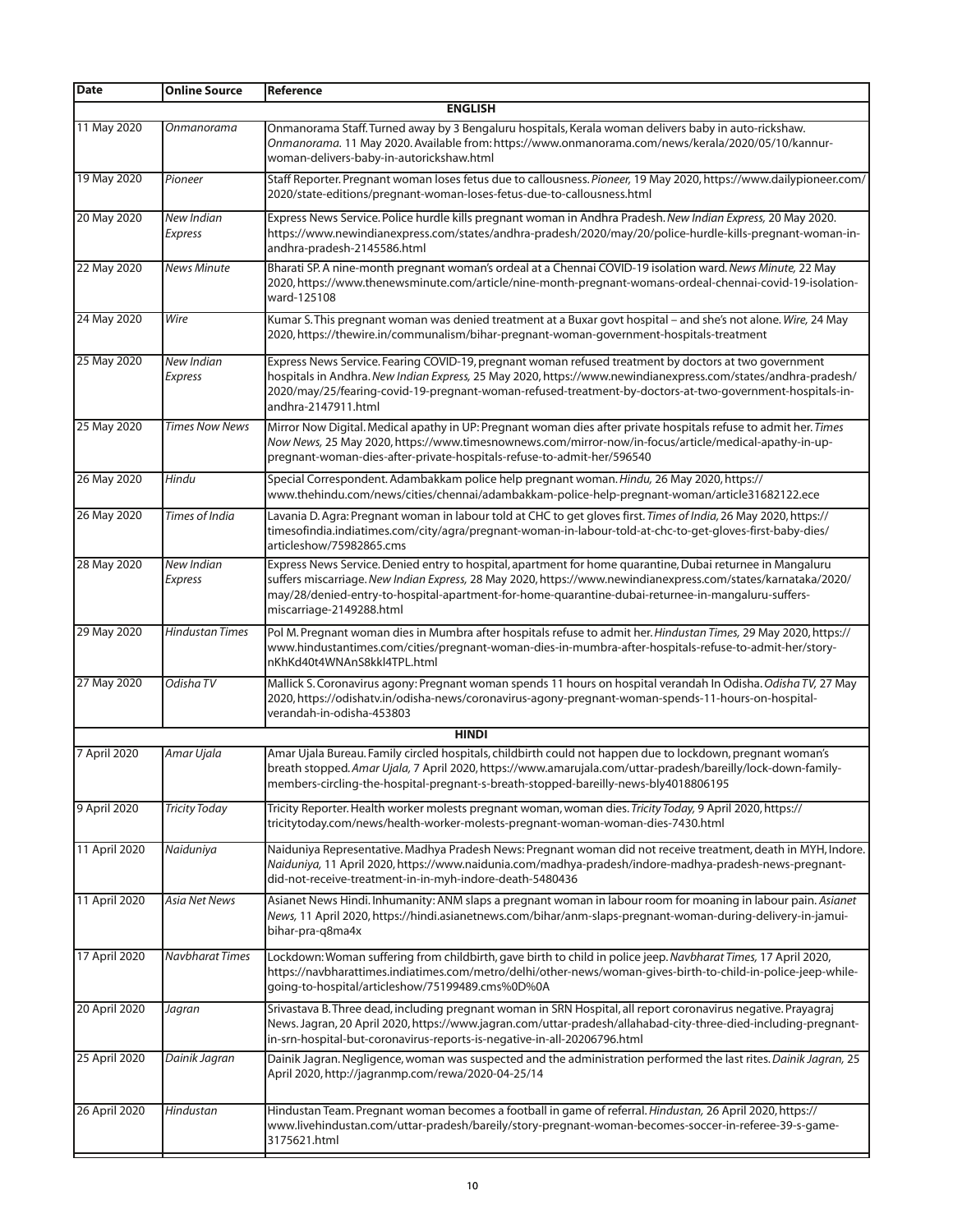| Date          | <b>Online Source</b>         | l Reference                                                                                                                                                                                                                                                                                                                                                   |
|---------------|------------------------------|---------------------------------------------------------------------------------------------------------------------------------------------------------------------------------------------------------------------------------------------------------------------------------------------------------------------------------------------------------------|
|               |                              | <b>ENGLISH</b>                                                                                                                                                                                                                                                                                                                                                |
| 11 May 2020   | Onmanorama                   | Onmanorama Staff. Turned away by 3 Bengaluru hospitals, Kerala woman delivers baby in auto-rickshaw.<br>Onmanorama. 11 May 2020. Available from: https://www.onmanorama.com/news/kerala/2020/05/10/kannur-<br>woman-delivers-baby-in-autorickshaw.html                                                                                                        |
| 19 May 2020   | Pioneer                      | Staff Reporter. Pregnant woman loses fetus due to callousness. Pioneer, 19 May 2020, https://www.dailypioneer.com/<br>2020/state-editions/pregnant-woman-loses-fetus-due-to-callousness.html                                                                                                                                                                  |
| 20 May 2020   | <b>New Indian</b><br>Express | Express News Service. Police hurdle kills pregnant woman in Andhra Pradesh. New Indian Express, 20 May 2020.<br>https://www.newindianexpress.com/states/andhra-pradesh/2020/may/20/police-hurdle-kills-pregnant-woman-in-<br>andhra-pradesh-2145586.html                                                                                                      |
| 22 May 2020   | <b>News Minute</b>           | Bharati SP. A nine-month pregnant woman's ordeal at a Chennai COVID-19 isolation ward. News Minute, 22 May<br>2020, https://www.thenewsminute.com/article/nine-month-pregnant-womans-ordeal-chennai-covid-19-isolation-<br>ward-125108                                                                                                                        |
| 24 May 2020   | Wire                         | Kumar S. This pregnant woman was denied treatment at a Buxar govt hospital - and she's not alone. Wire, 24 May<br>2020, https://thewire.in/communalism/bihar-pregnant-woman-government-hospitals-treatment                                                                                                                                                    |
| 25 May 2020   | New Indian<br>Express        | Express News Service. Fearing COVID-19, pregnant woman refused treatment by doctors at two government<br>hospitals in Andhra. New Indian Express, 25 May 2020, https://www.newindianexpress.com/states/andhra-pradesh/<br>2020/may/25/fearing-covid-19-pregnant-woman-refused-treatment-by-doctors-at-two-government-hospitals-in-<br>andhra-2147911.html     |
| 25 May 2020   | <b>Times Now News</b>        | Mirror Now Digital. Medical apathy in UP: Pregnant woman dies after private hospitals refuse to admit her. Times<br>Now News, 25 May 2020, https://www.timesnownews.com/mirror-now/in-focus/article/medical-apathy-in-up-<br>pregnant-woman-dies-after-private-hospitals-refuse-to-admit-her/596540                                                           |
| 26 May 2020   | Hindu                        | Special Correspondent. Adambakkam police help pregnant woman. Hindu, 26 May 2020, https://<br>www.thehindu.com/news/cities/chennai/adambakkam-police-help-pregnant-woman/article31682122.ece                                                                                                                                                                  |
| 26 May 2020   | Times of India               | Lavania D. Agra: Pregnant woman in labour told at CHC to get gloves first. Times of India, 26 May 2020, https://<br>timesofindia.indiatimes.com/city/agra/pregnant-woman-in-labour-told-at-chc-to-get-gloves-first-baby-dies/<br>articleshow/75982865.cms                                                                                                     |
| 28 May 2020   | <b>New Indian</b><br>Express | Express News Service. Denied entry to hospital, apartment for home quarantine, Dubai returnee in Mangaluru<br>suffers miscarriage. New Indian Express, 28 May 2020, https://www.newindianexpress.com/states/karnataka/2020/<br>may/28/denied-entry-to-hospital-apartment-for-home-quarantine-dubai-returnee-in-mangaluru-suffers-<br>miscarriage-2149288.html |
| 29 May 2020   | <b>Hindustan Times</b>       | Pol M. Pregnant woman dies in Mumbra after hospitals refuse to admit her. Hindustan Times, 29 May 2020, https://<br>www.hindustantimes.com/cities/pregnant-woman-dies-in-mumbra-after-hospitals-refuse-to-admit-her/story-<br>nKhKd40t4WNAnS8kkl4TPL.html                                                                                                     |
| 27 May 2020   | Odisha TV                    | Mallick S. Coronavirus agony: Pregnant woman spends 11 hours on hospital verandah In Odisha. Odisha TV, 27 May<br>2020, https://odishatv.in/odisha-news/coronavirus-agony-pregnant-woman-spends-11-hours-on-hospital-<br>verandah-in-odisha-453803                                                                                                            |
|               |                              | <b>HINDI</b>                                                                                                                                                                                                                                                                                                                                                  |
| 7 April 2020  | Amar Ujala                   | Amar Ujala Bureau. Family circled hospitals, childbirth could not happen due to lockdown, pregnant woman's<br>breath stopped. Amar Ujala, 7 April 2020, https://www.amarujala.com/uttar-pradesh/bareilly/lock-down-family-<br>members-circling-the-hospital-pregnant-s-breath-stopped-bareilly-news-bly4018806195                                             |
| 9 April 2020  | <b>Tricity Today</b>         | Tricity Reporter. Health worker molests pregnant woman, woman dies. Tricity Today, 9 April 2020, https://<br>tricitytoday.com/news/health-worker-molests-pregnant-woman-woman-dies-7430.html                                                                                                                                                                  |
| 11 April 2020 | Naiduniya                    | Naiduniya Representative. Madhya Pradesh News: Pregnant woman did not receive treatment, death in MYH, Indore.<br>Naiduniya, 11 April 2020, https://www.naidunia.com/madhya-pradesh/indore-madhya-pradesh-news-pregnant-<br>did-not-receive-treatment-in-in-myh-indore-death-5480436                                                                          |
| 11 April 2020 | <b>Asia Net News</b>         | Asianet News Hindi. Inhumanity: ANM slaps a pregnant woman in labour room for moaning in labour pain. Asianet<br>News, 11 April 2020, https://hindi.asianetnews.com/bihar/anm-slaps-pregnant-woman-during-delivery-in-jamui-<br>bihar-pra-q8ma4x                                                                                                              |
| 17 April 2020 | <b>Navbharat Times</b>       | Lockdown: Woman suffering from childbirth, gave birth to child in police jeep. Navbharat Times, 17 April 2020,<br>https://navbharattimes.indiatimes.com/metro/delhi/other-news/woman-gives-birth-to-child-in-police-jeep-while-<br>going-to-hospital/articleshow/75199489.cms%0D%0A                                                                           |
| 20 April 2020 | Jagran                       | Srivastava B. Three dead, including pregnant woman in SRN Hospital, all report coronavirus negative. Prayagraj<br>News. Jagran, 20 April 2020, https://www.jagran.com/uttar-pradesh/allahabad-city-three-died-including-pregnant-<br>in-srn-hospital-but-coronavirus-reports-is-negative-in-all-20206796.html                                                 |
| 25 April 2020 | Dainik Jagran                | Dainik Jagran. Negligence, woman was suspected and the administration performed the last rites. Dainik Jagran, 25<br>April 2020, http://jagranmp.com/rewa/2020-04-25/14                                                                                                                                                                                       |
| 26 April 2020 | Hindustan                    | Hindustan Team. Pregnant woman becomes a football in game of referral. Hindustan, 26 April 2020, https://<br>www.livehindustan.com/uttar-pradesh/bareily/story-pregnant-woman-becomes-soccer-in-referee-39-s-game-<br>3175621.html                                                                                                                            |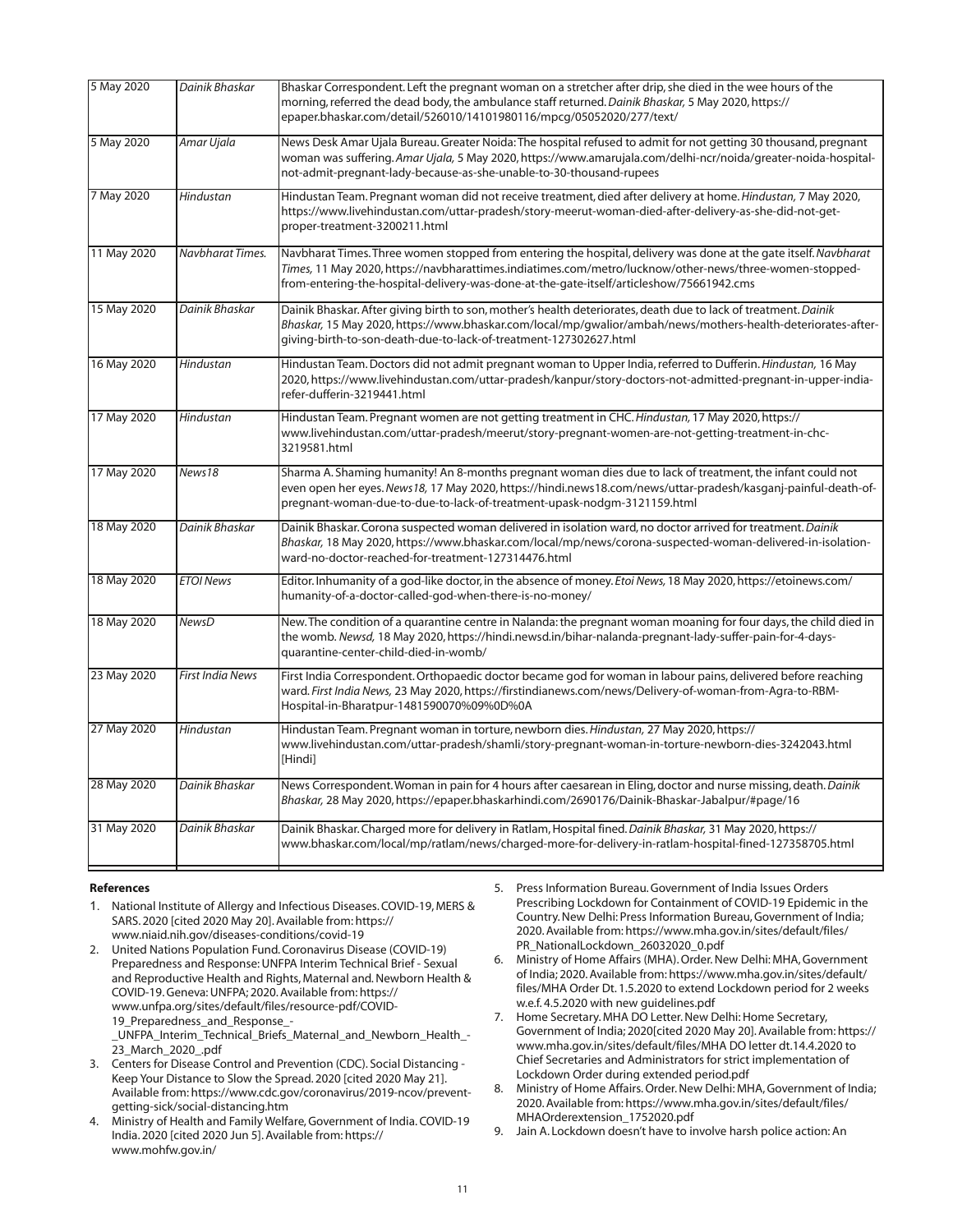| 5 May 2020  | Dainik Bhaskar          | Bhaskar Correspondent. Left the pregnant woman on a stretcher after drip, she died in the wee hours of the<br>morning, referred the dead body, the ambulance staff returned. Dainik Bhaskar, 5 May 2020, https://<br>epaper.bhaskar.com/detail/526010/14101980116/mpcq/05052020/277/text/                               |
|-------------|-------------------------|-------------------------------------------------------------------------------------------------------------------------------------------------------------------------------------------------------------------------------------------------------------------------------------------------------------------------|
| 5 May 2020  | Amar Ujala              | News Desk Amar Ujala Bureau. Greater Noida: The hospital refused to admit for not getting 30 thousand, pregnant<br>woman was suffering. Amar Ujala, 5 May 2020, https://www.amarujala.com/delhi-ncr/noida/greater-noida-hospital-<br>not-admit-pregnant-lady-because-as-she-unable-to-30-thousand-rupees                |
| 7 May 2020  | Hindustan               | Hindustan Team. Pregnant woman did not receive treatment, died after delivery at home. Hindustan, 7 May 2020,<br>https://www.livehindustan.com/uttar-pradesh/story-meerut-woman-died-after-delivery-as-she-did-not-get-<br>proper-treatment-3200211.html                                                                |
| 11 May 2020 | Navbharat Times.        | Navbharat Times. Three women stopped from entering the hospital, delivery was done at the gate itself. Navbharat<br>Times, 11 May 2020, https://navbharattimes.indiatimes.com/metro/lucknow/other-news/three-women-stopped-<br>from-entering-the-hospital-delivery-was-done-at-the-gate-itself/articleshow/75661942.cms |
| 15 May 2020 | Dainik Bhaskar          | Dainik Bhaskar. After giving birth to son, mother's health deteriorates, death due to lack of treatment. Dainik<br>Bhaskar, 15 May 2020, https://www.bhaskar.com/local/mp/qwalior/ambah/news/mothers-health-deteriorates-after-<br>giving-birth-to-son-death-due-to-lack-of-treatment-127302627.html                    |
| 16 May 2020 | Hindustan               | Hindustan Team. Doctors did not admit pregnant woman to Upper India, referred to Dufferin. Hindustan, 16 May<br>2020, https://www.livehindustan.com/uttar-pradesh/kanpur/story-doctors-not-admitted-pregnant-in-upper-india-<br>refer-dufferin-3219441.html                                                             |
| 17 May 2020 | Hindustan               | Hindustan Team. Pregnant women are not getting treatment in CHC. Hindustan, 17 May 2020, https://<br>www.livehindustan.com/uttar-pradesh/meerut/story-pregnant-women-are-not-getting-treatment-in-chc-<br>3219581.html                                                                                                  |
| 17 May 2020 | News18                  | Sharma A. Shaming humanity! An 8-months pregnant woman dies due to lack of treatment, the infant could not<br>even open her eyes. News18, 17 May 2020, https://hindi.news18.com/news/uttar-pradesh/kasganj-painful-death-of-<br>pregnant-woman-due-to-due-to-lack-of-treatment-upask-nodgm-3121159.html                 |
| 18 May 2020 | Dainik Bhaskar          | Dainik Bhaskar. Corona suspected woman delivered in isolation ward, no doctor arrived for treatment. Dainik<br>Bhaskar, 18 May 2020, https://www.bhaskar.com/local/mp/news/corona-suspected-woman-delivered-in-isolation-<br>ward-no-doctor-reached-for-treatment-127314476.html                                        |
| 18 May 2020 | <b>ETOI News</b>        | Editor. Inhumanity of a god-like doctor, in the absence of money. Etoi News, 18 May 2020, https://etoinews.com/<br>humanity-of-a-doctor-called-god-when-there-is-no-money/                                                                                                                                              |
| 18 May 2020 | <b>NewsD</b>            | New. The condition of a quarantine centre in Nalanda: the pregnant woman moaning for four days, the child died in<br>the womb. Newsd, 18 May 2020, https://hindi.newsd.in/bihar-nalanda-pregnant-lady-suffer-pain-for-4-days-<br>quarantine-center-child-died-in-womb/                                                  |
| 23 May 2020 | <b>First India News</b> | First India Correspondent. Orthopaedic doctor became god for woman in labour pains, delivered before reaching<br>ward. First India News, 23 May 2020, https://firstindianews.com/news/Delivery-of-woman-from-Agra-to-RBM-<br>Hospital-in-Bharatpur-1481590070%09%0D%0A                                                  |
| 27 May 2020 | Hindustan               | Hindustan Team. Pregnant woman in torture, newborn dies. Hindustan, 27 May 2020, https://<br>www.livehindustan.com/uttar-pradesh/shamli/story-pregnant-woman-in-torture-newborn-dies-3242043.html<br>[Hindi]                                                                                                            |
| 28 May 2020 | Dainik Bhaskar          | News Correspondent. Woman in pain for 4 hours after caesarean in Eling, doctor and nurse missing, death. Dainik<br>Bhaskar, 28 May 2020, https://epaper.bhaskarhindi.com/2690176/Dainik-Bhaskar-Jabalpur/#page/16                                                                                                       |
| 31 May 2020 | Dainik Bhaskar          | Dainik Bhaskar. Charged more for delivery in Ratlam, Hospital fined. Dainik Bhaskar, 31 May 2020, https://<br>www.bhaskar.com/local/mp/ratlam/news/charged-more-for-delivery-in-ratlam-hospital-fined-127358705.html                                                                                                    |

#### **References**

- 1. National Institute of Allergy and Infectious Diseases.COVID-19, MERS & SARS. 2020 [cited 2020 May 20].Available from: https:// www.niaid.nih.gov/diseases-conditions/covid-19
- 2. United Nations Population Fund.Coronavirus Disease (COVID-19) Preparedness and Response:UNFPA Interim Technical Brief - Sexual and Reproductive Health and Rights, Maternal and. Newborn Health & COVID-19.Geneva:UNFPA; 2020.Available from: https:// www.unfpa.org/sites/default/files/resource-pdf/COVID-19\_Preparedness\_and\_Response\_-

\_UNFPA\_Interim\_Technical\_Briefs\_Maternal\_and\_Newborn\_Health\_- 23\_March\_2020\_.pdf

- 3. Centers for Disease Control and Prevention (CDC). Social Distancing Keep Your Distance to Slow the Spread. 2020 [cited 2020 May 21]. Available from: https://www.cdc.gov/coronavirus/2019-ncov/preventgetting-sick/social-distancing.htm
- 4. Ministry of Health and Family Welfare,Government of India.COVID-19 India. 2020 [cited 2020 Jun 5].Available from: https:// www.mohfw.gov.in/
- 5. Press Information Bureau.Government of India Issues Orders Prescribing Lockdown for Containment of COVID-19 Epidemic in the Country.New Delhi: Press Information Bureau,Government of India; 2020.Available from: https://www.mha.gov.in/sites/default/files/ PR\_NationalLockdown\_26032020\_0.pdf
- 6. Ministry of Home Affairs (MHA).Order.New Delhi: MHA,Government of India; 2020.Available from: https://www.mha.gov.in/sites/default/ files/MHA Order Dt. 1.5.2020 to extend Lockdown period for 2 weeks w.e.f. 4.5.2020 with new guidelines.pdf
- 7. Home Secretary. MHA DO Letter. New Delhi: Home Secretary, Government of India; 2020[cited 2020 May 20].Available from: https:// www.mha.gov.in/sites/default/files/MHA DO letter dt.14.4.2020 to Chief Secretaries and Administrators for strict implementation of Lockdown Order during extended period.pdf
- 8. Ministry of Home Affairs. Order. New Delhi: MHA, Government of India; 2020.Available from: https://www.mha.gov.in/sites/default/files/ MHAOrderextension\_1752020.pdf
- 9. Jain A. Lockdown doesn't have to involve harsh police action: An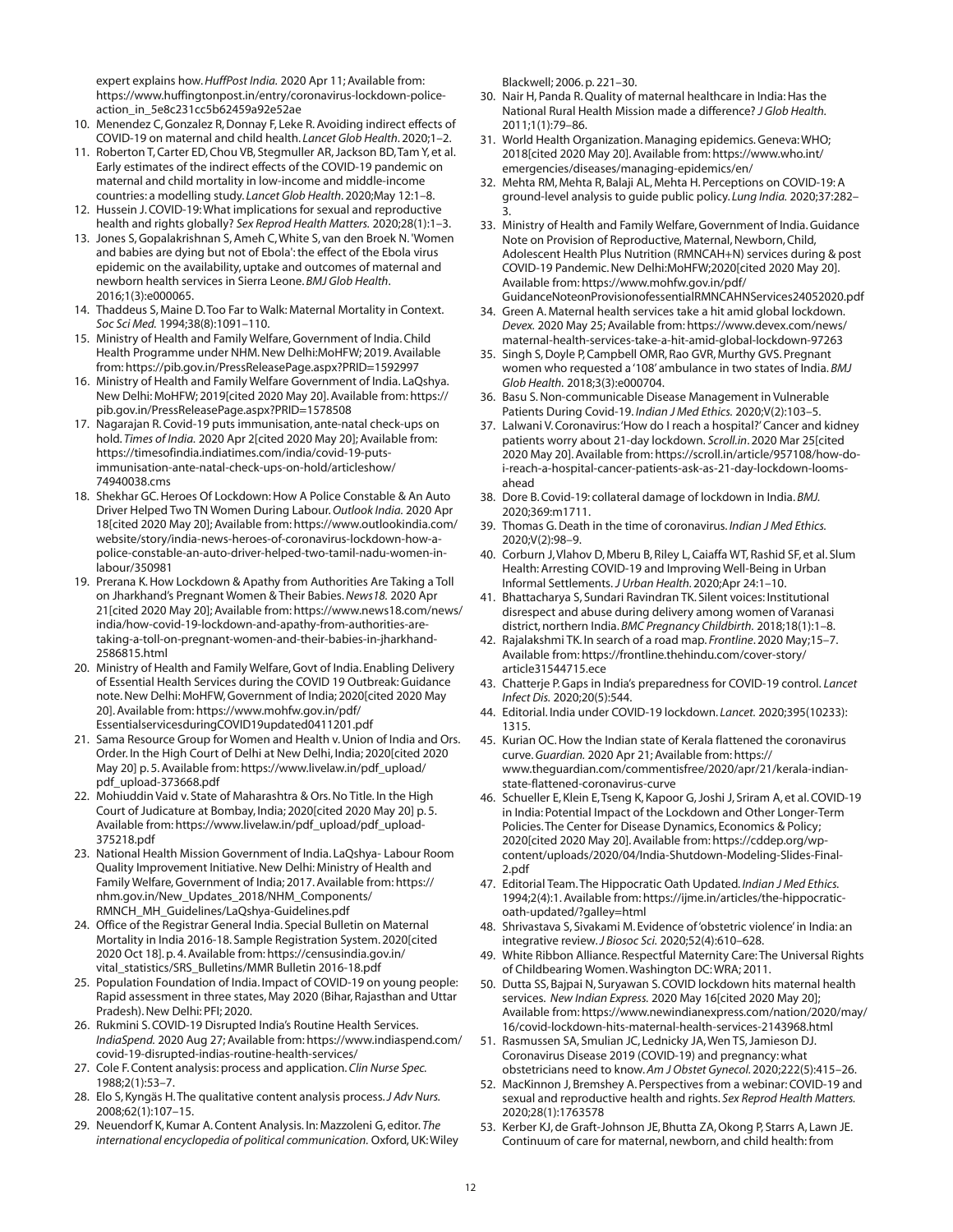expert explains how.*HuffPost India.* 2020 Apr 11; Available from: https://www.huffingtonpost.in/entry/coronavirus-lockdown-policeaction\_in\_5e8c231cc5b62459a92e52ae

- 10. Menendez C,Gonzalez R,Donnay F, Leke R.Avoiding indirect effects of COVID-19 on maternal and child health. *Lancet Glob Health*. 2020;1–2.
- 11. Roberton T,Carter ED,Chou VB, Stegmuller AR,Jackson BD,Tam Y, et al. Early estimates of the indirect effects of the COVID-19 pandemic on maternal and child mortality in low-income and middle-income countries: a modelling study. *Lancet Glob Health*. 2020;May 12:1–8.
- 12. Hussein J.COVID-19:What implications for sexual and reproductive health and rights globally? *Sex Reprod Health Matters.* 2020;28(1):1–3.
- 13. Jones S,Gopalakrishnan S,Ameh C,White S, van den Broek N. 'Women and babies are dying but not of Ebola':the effect of the Ebola virus epidemic on the availability, uptake and outcomes of maternal and newborn health services in Sierra Leone. *BMJ Glob Health*. 2016;1(3):e000065.
- 14. Thaddeus S, Maine D.Too Far to Walk: Maternal Mortality in Context. *Soc Sci Med.* 1994;38(8):1091–110.
- 15. Ministry of Health and Family Welfare, Government of India. Child Health Programme under NHM.New Delhi:MoHFW; 2019.Available from: https://pib.gov.in/PressReleasePage.aspx?PRID=1592997
- 16. Ministry of Health and Family Welfare Government of India. LaQshya. New Delhi: MoHFW; 2019[cited 2020 May 20].Available from: https:// pib.gov.in/PressReleasePage.aspx?PRID=1578508
- 17. Nagarajan R.Covid-19 puts immunisation, ante-natal check-ups on hold. *Times of India.* 2020 Apr 2[cited 2020 May 20]; Available from: https://timesofindia.indiatimes.com/india/covid-19-putsimmunisation-ante-natal-check-ups-on-hold/articleshow/ 74940038.cms
- 18. Shekhar GC. Heroes Of Lockdown: How A Police Constable & An Auto Driver Helped Two TN Women During Labour.*Outlook India.* 2020 Apr 18[cited 2020 May 20]; Available from: https://www.outlookindia.com/ website/story/india-news-heroes-of-coronavirus-lockdown-how-apolice-constable-an-auto-driver-helped-two-tamil-nadu-women-inlabour/350981
- 19. Prerana K.How Lockdown & Apathy from Authorities Are Taking a Toll on Jharkhand's Pregnant Women & Their Babies.*News18.* 2020 Apr 21[cited 2020 May 20]; Available from: https://www.news18.com/news/ india/how-covid-19-lockdown-and-apathy-from-authorities-aretaking-a-toll-on-pregnant-women-and-their-babies-in-jharkhand-2586815.html
- 20. Ministry of Health and Family Welfare, Govt of India. Enabling Delivery of Essential Health Services during the COVID 19 Outbreak:Guidance note.New Delhi: MoHFW,Government of India; 2020[cited 2020 May 20].Available from: https://www.mohfw.gov.in/pdf/ EssentialservicesduringCOVID19updated0411201.pdf
- 21. Sama Resource Group for Women and Health v.Union of India and Ors. Order. In the High Court of Delhi at New Delhi, India; 2020[cited 2020 May 20] p. 5.Available from: https://www.livelaw.in/pdf\_upload/ pdf\_upload-373668.pdf
- 22. Mohiuddin Vaid v. State of Maharashtra & Ors.No Title. In the High Court of Judicature at Bombay, India; 2020[cited 2020 May 20] p. 5. Available from: https://www.livelaw.in/pdf\_upload/pdf\_upload-375218.pdf
- 23. National Health Mission Government of India. LaQshya- Labour Room Quality Improvement Initiative.New Delhi: Ministry of Health and Family Welfare,Government of India; 2017.Available from: https:// nhm.gov.in/New\_Updates\_2018/NHM\_Components/ RMNCH\_MH\_Guidelines/LaQshya-Guidelines.pdf
- 24. Office of the Registrar General India. Special Bulletin on Maternal Mortality in India 2016-18. Sample Registration System. 2020[cited 2020 Oct 18]. p. 4.Available from: https://censusindia.gov.in/ vital\_statistics/SRS\_Bulletins/MMR Bulletin 2016-18.pdf
- 25. Population Foundation of India. Impact of COVID-19 on young people: Rapid assessment in three states, May 2020 (Bihar, Rajasthan and Uttar Pradesh).New Delhi: PFI; 2020.
- 26. Rukmini S.COVID-19 Disrupted India's Routine Health Services. *IndiaSpend.* 2020 Aug 27; Available from: https://www.indiaspend.com/ covid-19-disrupted-indias-routine-health-services/
- 27. Cole F.Content analysis: process and application. *Clin Nurse Spec.* 1988;2(1):53–7.
- 28. Elo S, Kyngäs H.The qualitative content analysis process.*J Adv Nurs.* 2008;62(1):107–15.
- 29. Neuendorf K, Kumar A.Content Analysis. In: Mazzoleni G, editor. *The international encyclopedia of political communication.* Oxford,UK:Wiley

Blackwell; 2006. p. 221–30.

- 30. Nair H, Panda R. Quality of maternal healthcare in India: Has the National Rural Health Mission made a difference? *J Glob Health.* 2011;1(1):79–86.
- 31. World Health Organization. Managing epidemics.Geneva:WHO; 2018[cited 2020 May 20].Available from: https://www.who.int/ emergencies/diseases/managing-epidemics/en/
- 32. Mehta RM, Mehta R, Balaji AL, Mehta H. Perceptions on COVID-19: A ground-level analysis to guide public policy. *Lung India.* 2020;37:282– 3.
- 33. Ministry of Health and Family Welfare,Government of India.Guidance Note on Provision of Reproductive, Maternal, Newborn, Child, Adolescent Health Plus Nutrition (RMNCAH+N) services during & post COVID-19 Pandemic.New Delhi:MoHFW;2020[cited 2020 May 20]. Available from: https://www.mohfw.gov.in/pdf/ GuidanceNoteonProvisionofessentialRMNCAHNServices24052020.pdf
- 34. Green A. Maternal health services take a hit amid global lockdown. *Devex.* 2020 May 25; Available from: https://www.devex.com/news/ maternal-health-services-take-a-hit-amid-global-lockdown-97263
- 35. Singh S,Doyle P,Campbell OMR, Rao GVR, Murthy GVS. Pregnant women who requested a '108' ambulance in two states of India. *BMJ Glob Health.* 2018;3(3):e000704.
- 36. Basu S.Non-communicable Disease Management in Vulnerable Patients During Covid-19. *Indian J Med Ethics.* 2020;V(2):103–5.
- 37. Lalwani V.Coronavirus:'How do I reach a hospital?'Cancer and kidney patients worry about 21-day lockdown. *Scroll.in*. 2020 Mar 25[cited 2020 May 20].Available from: https://scroll.in/article/957108/how-doi-reach-a-hospital-cancer-patients-ask-as-21-day-lockdown-loomsahead
- 38. Dore B.Covid-19: collateral damage of lockdown in India. *BMJ.* 2020;369:m1711.
- 39. Thomas G.Death in the time of coronavirus. *Indian J Med Ethics.* 2020;V(2):98–9.
- 40. Corburn J,Vlahov D, Mberu B, Riley L,Caiaffa WT, Rashid SF, et al. Slum Health: Arresting COVID-19 and Improving Well-Being in Urban Informal Settlements. *J Urban Health.*2020;Apr 24:1–10.
- 41. Bhattacharya S, Sundari Ravindran TK. Silent voices: Institutional disrespect and abuse during delivery among women of Varanasi district, northern India. *BMC Pregnancy Childbirth.* 2018;18(1):1–8.
- 42. Rajalakshmi TK. In search of a road map. *Frontline*. 2020 May;15–7. Available from: https://frontline.thehindu.com/cover-story/ article31544715.ece
- 43. Chatterje P.Gaps in India's preparedness for COVID-19 control. *Lancet Infect Dis.* 2020;20(5):544.
- 44. Editorial. India under COVID-19 lockdown. *Lancet.* 2020;395(10233): 1315.
- 45. Kurian OC.How the Indian state of Kerala flattened the coronavirus curve.*Guardian.* 2020 Apr 21; Available from: https:// www.theguardian.com/commentisfree/2020/apr/21/kerala-indianstate-flattened-coronavirus-curve
- 46. Schueller E, Klein E,Tseng K, Kapoor G,Joshi J, Sriram A, et al.COVID-19 in India: Potential Impact of the Lockdown and Other Longer-Term Policies.The Center for Disease Dynamics, Economics & Policy; 2020[cited 2020 May 20].Available from: https://cddep.org/wpcontent/uploads/2020/04/India-Shutdown-Modeling-Slides-Final-2.pdf
- 47. Editorial Team.The Hippocratic Oath Updated. *Indian J Med Ethics.* 1994;2(4):1.Available from: https://ijme.in/articles/the-hippocraticoath-updated/?galley=html
- 48. Shrivastava S, Sivakami M. Evidence of'obstetric violence' in India: an integrative review.*J Biosoc Sci.* 2020;52(4):610–628.
- 49. White Ribbon Alliance. Respectful Maternity Care:The Universal Rights of Childbearing Women.Washington DC:WRA; 2011.
- 50. Dutta SS, Bajpai N, Suryawan S.COVID lockdown hits maternal health services. *New Indian Express.* 2020 May 16[cited 2020 May 20]; Available from: https://www.newindianexpress.com/nation/2020/may/ 16/covid-lockdown-hits-maternal-health-services-2143968.html
- 51. Rasmussen SA, Smulian JC, Lednicky JA,Wen TS,Jamieson DJ. Coronavirus Disease 2019 (COVID-19) and pregnancy: what obstetricians need to know. *Am J Obstet Gynecol.*2020;222(5):415–26.
- 52. MacKinnon J, Bremshey A. Perspectives from a webinar: COVID-19 and sexual and reproductive health and rights. *Sex Reprod Health Matters.* 2020;28(1):1763578
- 53. Kerber KJ, de Graft-Johnson JE, Bhutta ZA,Okong P, Starrs A, Lawn JE. Continuum of care for maternal, newborn, and child health: from